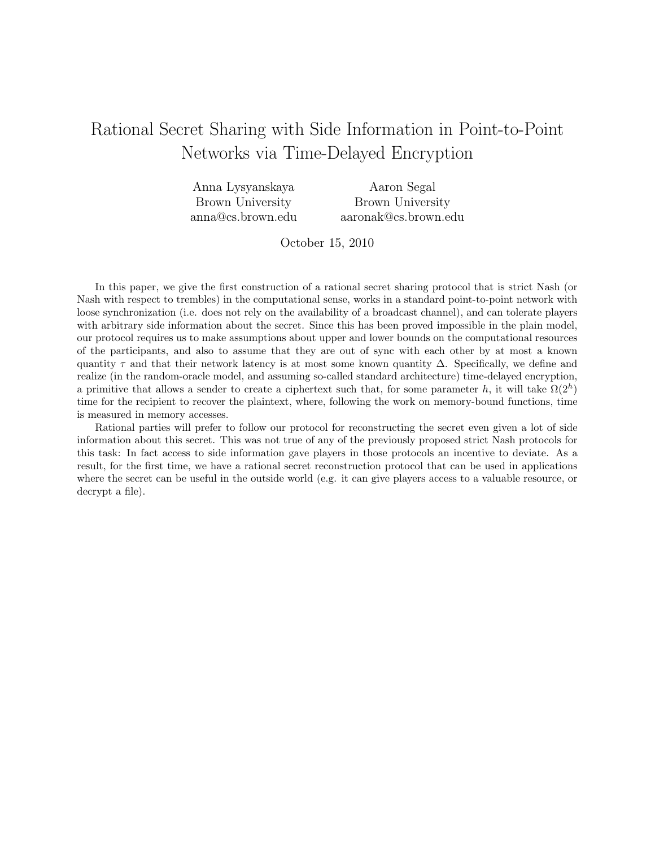# Rational Secret Sharing with Side Information in Point-to-Point Networks via Time-Delayed Encryption

| Anna Lysyanskaya  | Aaron Segal          |
|-------------------|----------------------|
| Brown University  | Brown University     |
| anna@cs.brown.edu | aaronak@cs.brown.edu |

October 15, 2010

In this paper, we give the first construction of a rational secret sharing protocol that is strict Nash (or Nash with respect to trembles) in the computational sense, works in a standard point-to-point network with loose synchronization (i.e. does not rely on the availability of a broadcast channel), and can tolerate players with arbitrary side information about the secret. Since this has been proved impossible in the plain model, our protocol requires us to make assumptions about upper and lower bounds on the computational resources of the participants, and also to assume that they are out of sync with each other by at most a known quantity  $\tau$  and that their network latency is at most some known quantity  $\Delta$ . Specifically, we define and realize (in the random-oracle model, and assuming so-called standard architecture) time-delayed encryption, a primitive that allows a sender to create a ciphertext such that, for some parameter h, it will take  $\Omega(2^h)$ time for the recipient to recover the plaintext, where, following the work on memory-bound functions, time is measured in memory accesses.

Rational parties will prefer to follow our protocol for reconstructing the secret even given a lot of side information about this secret. This was not true of any of the previously proposed strict Nash protocols for this task: In fact access to side information gave players in those protocols an incentive to deviate. As a result, for the first time, we have a rational secret reconstruction protocol that can be used in applications where the secret can be useful in the outside world (e.g. it can give players access to a valuable resource, or decrypt a file).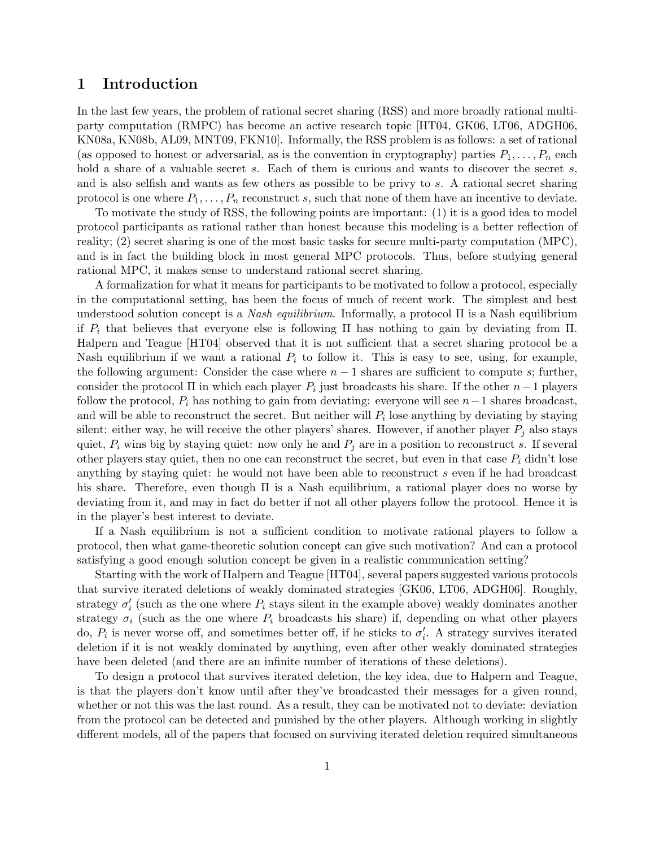## 1 Introduction

In the last few years, the problem of rational secret sharing (RSS) and more broadly rational multiparty computation (RMPC) has become an active research topic [HT04, GK06, LT06, ADGH06, KN08a, KN08b, AL09, MNT09, FKN10]. Informally, the RSS problem is as follows: a set of rational (as opposed to honest or adversarial, as is the convention in cryptography) parties  $P_1, \ldots, P_n$  each hold a share of a valuable secret s. Each of them is curious and wants to discover the secret s, and is also selfish and wants as few others as possible to be privy to s. A rational secret sharing protocol is one where  $P_1, \ldots, P_n$  reconstruct s, such that none of them have an incentive to deviate.

To motivate the study of RSS, the following points are important: (1) it is a good idea to model protocol participants as rational rather than honest because this modeling is a better reflection of reality; (2) secret sharing is one of the most basic tasks for secure multi-party computation (MPC), and is in fact the building block in most general MPC protocols. Thus, before studying general rational MPC, it makes sense to understand rational secret sharing.

A formalization for what it means for participants to be motivated to follow a protocol, especially in the computational setting, has been the focus of much of recent work. The simplest and best understood solution concept is a Nash equilibrium. Informally, a protocol  $\Pi$  is a Nash equilibrium if  $P_i$  that believes that everyone else is following Π has nothing to gain by deviating from Π. Halpern and Teague [HT04] observed that it is not sufficient that a secret sharing protocol be a Nash equilibrium if we want a rational  $P_i$  to follow it. This is easy to see, using, for example, the following argument: Consider the case where  $n-1$  shares are sufficient to compute s; further, consider the protocol  $\Pi$  in which each player  $P_i$  just broadcasts his share. If the other  $n-1$  players follow the protocol,  $P_i$  has nothing to gain from deviating: everyone will see  $n-1$  shares broadcast, and will be able to reconstruct the secret. But neither will  $P_i$  lose anything by deviating by staying silent: either way, he will receive the other players' shares. However, if another player  $P_i$  also stays quiet,  $P_i$  wins big by staying quiet: now only he and  $P_j$  are in a position to reconstruct s. If several other players stay quiet, then no one can reconstruct the secret, but even in that case  $P_i$  didn't lose anything by staying quiet: he would not have been able to reconstruct  $s$  even if he had broadcast his share. Therefore, even though Π is a Nash equilibrium, a rational player does no worse by deviating from it, and may in fact do better if not all other players follow the protocol. Hence it is in the player's best interest to deviate.

If a Nash equilibrium is not a sufficient condition to motivate rational players to follow a protocol, then what game-theoretic solution concept can give such motivation? And can a protocol satisfying a good enough solution concept be given in a realistic communication setting?

Starting with the work of Halpern and Teague [HT04], several papers suggested various protocols that survive iterated deletions of weakly dominated strategies [GK06, LT06, ADGH06]. Roughly, strategy  $\sigma'_{i}$  (such as the one where  $P_{i}$  stays silent in the example above) weakly dominates another strategy  $\sigma_i$  (such as the one where  $P_i$  broadcasts his share) if, depending on what other players do,  $P_i$  is never worse off, and sometimes better off, if he sticks to  $\sigma'_i$ . A strategy survives iterated deletion if it is not weakly dominated by anything, even after other weakly dominated strategies have been deleted (and there are an infinite number of iterations of these deletions).

To design a protocol that survives iterated deletion, the key idea, due to Halpern and Teague, is that the players don't know until after they've broadcasted their messages for a given round, whether or not this was the last round. As a result, they can be motivated not to deviate: deviation from the protocol can be detected and punished by the other players. Although working in slightly different models, all of the papers that focused on surviving iterated deletion required simultaneous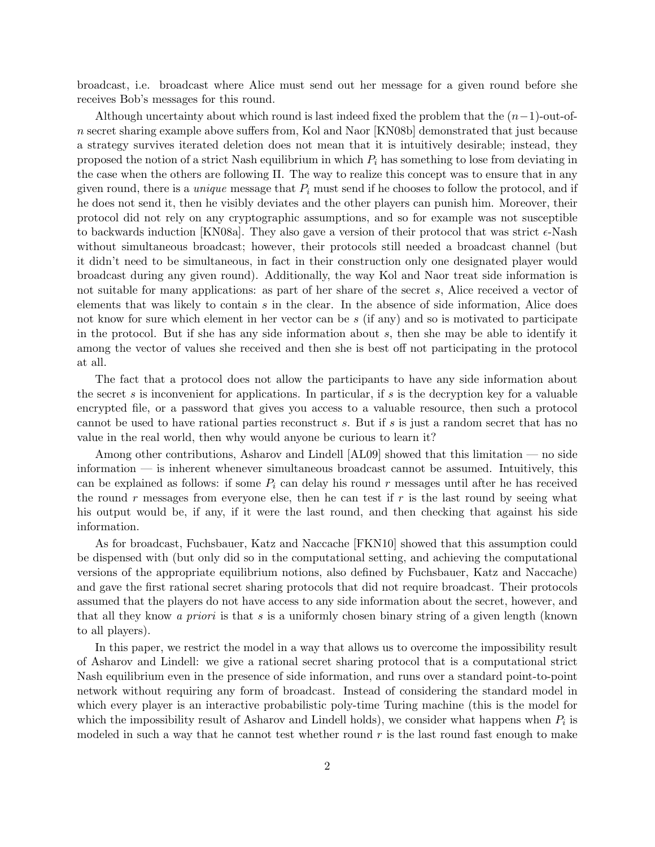broadcast, i.e. broadcast where Alice must send out her message for a given round before she receives Bob's messages for this round.

Although uncertainty about which round is last indeed fixed the problem that the  $(n-1)$ -out-ofn secret sharing example above suffers from, Kol and Naor [KN08b] demonstrated that just because a strategy survives iterated deletion does not mean that it is intuitively desirable; instead, they proposed the notion of a strict Nash equilibrium in which  $P_i$  has something to lose from deviating in the case when the others are following Π. The way to realize this concept was to ensure that in any given round, there is a *unique* message that  $P_i$  must send if he chooses to follow the protocol, and if he does not send it, then he visibly deviates and the other players can punish him. Moreover, their protocol did not rely on any cryptographic assumptions, and so for example was not susceptible to backwards induction [KN08a]. They also gave a version of their protocol that was strict  $\epsilon$ -Nash without simultaneous broadcast; however, their protocols still needed a broadcast channel (but it didn't need to be simultaneous, in fact in their construction only one designated player would broadcast during any given round). Additionally, the way Kol and Naor treat side information is not suitable for many applications: as part of her share of the secret s, Alice received a vector of elements that was likely to contain s in the clear. In the absence of side information, Alice does not know for sure which element in her vector can be s (if any) and so is motivated to participate in the protocol. But if she has any side information about  $s$ , then she may be able to identify it among the vector of values she received and then she is best off not participating in the protocol at all.

The fact that a protocol does not allow the participants to have any side information about the secret s is inconvenient for applications. In particular, if s is the decryption key for a valuable encrypted file, or a password that gives you access to a valuable resource, then such a protocol cannot be used to have rational parties reconstruct s. But if s is just a random secret that has no value in the real world, then why would anyone be curious to learn it?

Among other contributions, Asharov and Lindell [AL09] showed that this limitation — no side information — is inherent whenever simultaneous broadcast cannot be assumed. Intuitively, this can be explained as follows: if some  $P_i$  can delay his round r messages until after he has received the round r messages from everyone else, then he can test if  $r$  is the last round by seeing what his output would be, if any, if it were the last round, and then checking that against his side information.

As for broadcast, Fuchsbauer, Katz and Naccache [FKN10] showed that this assumption could be dispensed with (but only did so in the computational setting, and achieving the computational versions of the appropriate equilibrium notions, also defined by Fuchsbauer, Katz and Naccache) and gave the first rational secret sharing protocols that did not require broadcast. Their protocols assumed that the players do not have access to any side information about the secret, however, and that all they know a priori is that s is a uniformly chosen binary string of a given length (known to all players).

In this paper, we restrict the model in a way that allows us to overcome the impossibility result of Asharov and Lindell: we give a rational secret sharing protocol that is a computational strict Nash equilibrium even in the presence of side information, and runs over a standard point-to-point network without requiring any form of broadcast. Instead of considering the standard model in which every player is an interactive probabilistic poly-time Turing machine (this is the model for which the impossibility result of Asharov and Lindell holds), we consider what happens when  $P_i$  is modeled in such a way that he cannot test whether round  $r$  is the last round fast enough to make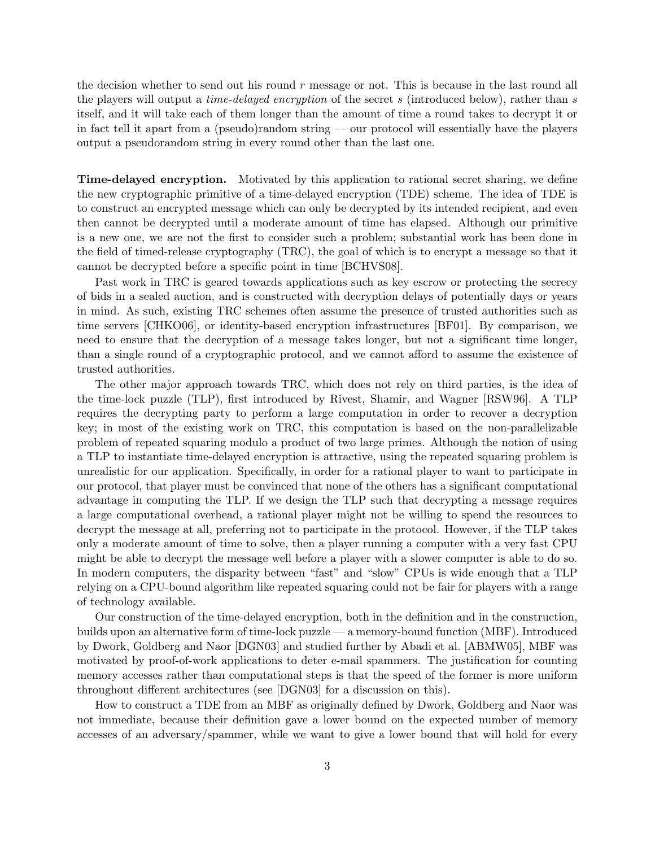the decision whether to send out his round  $r$  message or not. This is because in the last round all the players will output a *time-delayed encryption* of the secret s (introduced below), rather than s itself, and it will take each of them longer than the amount of time a round takes to decrypt it or in fact tell it apart from a (pseudo)random string — our protocol will essentially have the players output a pseudorandom string in every round other than the last one.

Time-delayed encryption. Motivated by this application to rational secret sharing, we define the new cryptographic primitive of a time-delayed encryption (TDE) scheme. The idea of TDE is to construct an encrypted message which can only be decrypted by its intended recipient, and even then cannot be decrypted until a moderate amount of time has elapsed. Although our primitive is a new one, we are not the first to consider such a problem; substantial work has been done in the field of timed-release cryptography (TRC), the goal of which is to encrypt a message so that it cannot be decrypted before a specific point in time [BCHVS08].

Past work in TRC is geared towards applications such as key escrow or protecting the secrecy of bids in a sealed auction, and is constructed with decryption delays of potentially days or years in mind. As such, existing TRC schemes often assume the presence of trusted authorities such as time servers [CHKO06], or identity-based encryption infrastructures [BF01]. By comparison, we need to ensure that the decryption of a message takes longer, but not a significant time longer, than a single round of a cryptographic protocol, and we cannot afford to assume the existence of trusted authorities.

The other major approach towards TRC, which does not rely on third parties, is the idea of the time-lock puzzle (TLP), first introduced by Rivest, Shamir, and Wagner [RSW96]. A TLP requires the decrypting party to perform a large computation in order to recover a decryption key; in most of the existing work on TRC, this computation is based on the non-parallelizable problem of repeated squaring modulo a product of two large primes. Although the notion of using a TLP to instantiate time-delayed encryption is attractive, using the repeated squaring problem is unrealistic for our application. Specifically, in order for a rational player to want to participate in our protocol, that player must be convinced that none of the others has a significant computational advantage in computing the TLP. If we design the TLP such that decrypting a message requires a large computational overhead, a rational player might not be willing to spend the resources to decrypt the message at all, preferring not to participate in the protocol. However, if the TLP takes only a moderate amount of time to solve, then a player running a computer with a very fast CPU might be able to decrypt the message well before a player with a slower computer is able to do so. In modern computers, the disparity between "fast" and "slow" CPUs is wide enough that a TLP relying on a CPU-bound algorithm like repeated squaring could not be fair for players with a range of technology available.

Our construction of the time-delayed encryption, both in the definition and in the construction, builds upon an alternative form of time-lock puzzle — a memory-bound function (MBF). Introduced by Dwork, Goldberg and Naor [DGN03] and studied further by Abadi et al. [ABMW05], MBF was motivated by proof-of-work applications to deter e-mail spammers. The justification for counting memory accesses rather than computational steps is that the speed of the former is more uniform throughout different architectures (see [DGN03] for a discussion on this).

How to construct a TDE from an MBF as originally defined by Dwork, Goldberg and Naor was not immediate, because their definition gave a lower bound on the expected number of memory accesses of an adversary/spammer, while we want to give a lower bound that will hold for every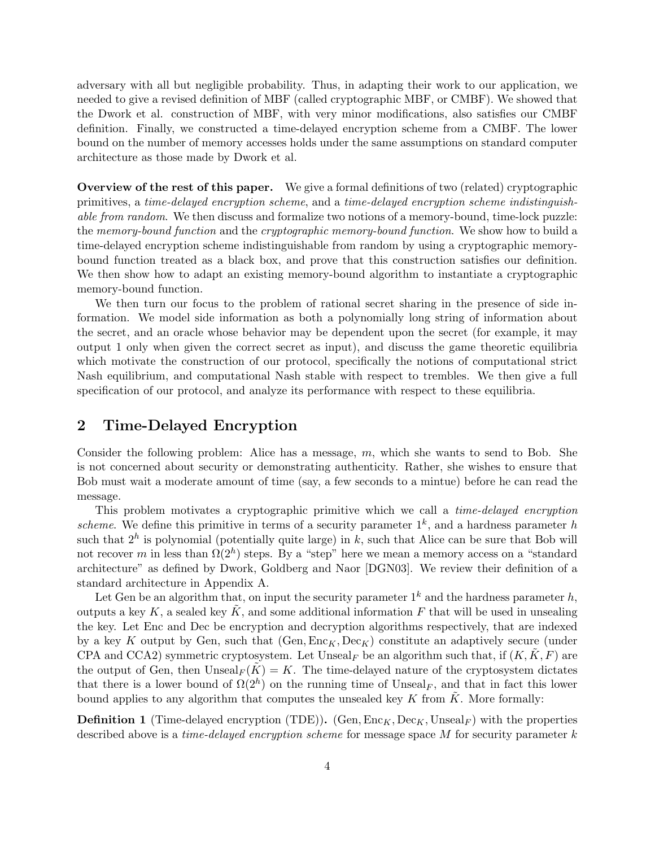adversary with all but negligible probability. Thus, in adapting their work to our application, we needed to give a revised definition of MBF (called cryptographic MBF, or CMBF). We showed that the Dwork et al. construction of MBF, with very minor modifications, also satisfies our CMBF definition. Finally, we constructed a time-delayed encryption scheme from a CMBF. The lower bound on the number of memory accesses holds under the same assumptions on standard computer architecture as those made by Dwork et al.

Overview of the rest of this paper. We give a formal definitions of two (related) cryptographic primitives, a time-delayed encryption scheme, and a time-delayed encryption scheme indistinguishable from random. We then discuss and formalize two notions of a memory-bound, time-lock puzzle: the memory-bound function and the cryptographic memory-bound function. We show how to build a time-delayed encryption scheme indistinguishable from random by using a cryptographic memorybound function treated as a black box, and prove that this construction satisfies our definition. We then show how to adapt an existing memory-bound algorithm to instantiate a cryptographic memory-bound function.

We then turn our focus to the problem of rational secret sharing in the presence of side information. We model side information as both a polynomially long string of information about the secret, and an oracle whose behavior may be dependent upon the secret (for example, it may output 1 only when given the correct secret as input), and discuss the game theoretic equilibria which motivate the construction of our protocol, specifically the notions of computational strict Nash equilibrium, and computational Nash stable with respect to trembles. We then give a full specification of our protocol, and analyze its performance with respect to these equilibria.

## 2 Time-Delayed Encryption

Consider the following problem: Alice has a message, m, which she wants to send to Bob. She is not concerned about security or demonstrating authenticity. Rather, she wishes to ensure that Bob must wait a moderate amount of time (say, a few seconds to a mintue) before he can read the message.

This problem motivates a cryptographic primitive which we call a time-delayed encryption scheme. We define this primitive in terms of a security parameter  $1^k$ , and a hardness parameter h such that  $2^h$  is polynomial (potentially quite large) in k, such that Alice can be sure that Bob will not recover m in less than  $\Omega(2^h)$  steps. By a "step" here we mean a memory access on a "standard" architecture" as defined by Dwork, Goldberg and Naor [DGN03]. We review their definition of a standard architecture in Appendix A.

Let Gen be an algorithm that, on input the security parameter  $1^k$  and the hardness parameter h, outputs a key  $K$ , a sealed key  $K$ , and some additional information  $F$  that will be used in unsealing the key. Let Enc and Dec be encryption and decryption algorithms respectively, that are indexed by a key K output by Gen, such that  $(Gen, Enc_K, Dec_K)$  constitute an adaptively secure (under CPA and CCA2) symmetric cryptosystem. Let Unseal<sub>F</sub> be an algorithm such that, if  $(K, K, F)$  are the output of Gen, then  $\text{Unseal}_F(\tilde{K}) = K$ . The time-delayed nature of the cryptosystem dictates that there is a lower bound of  $\Omega(2^h)$  on the running time of Unseal<sub>F</sub>, and that in fact this lower bound applies to any algorithm that computes the unsealed key  $K$  from  $K$ . More formally:

**Definition 1** (Time-delayed encryption (TDE)). (Gen,  $Enc_K, Dec_K$ , Unseal<sub>F</sub>) with the properties described above is a *time-delayed encryption scheme* for message space  $M$  for security parameter  $k$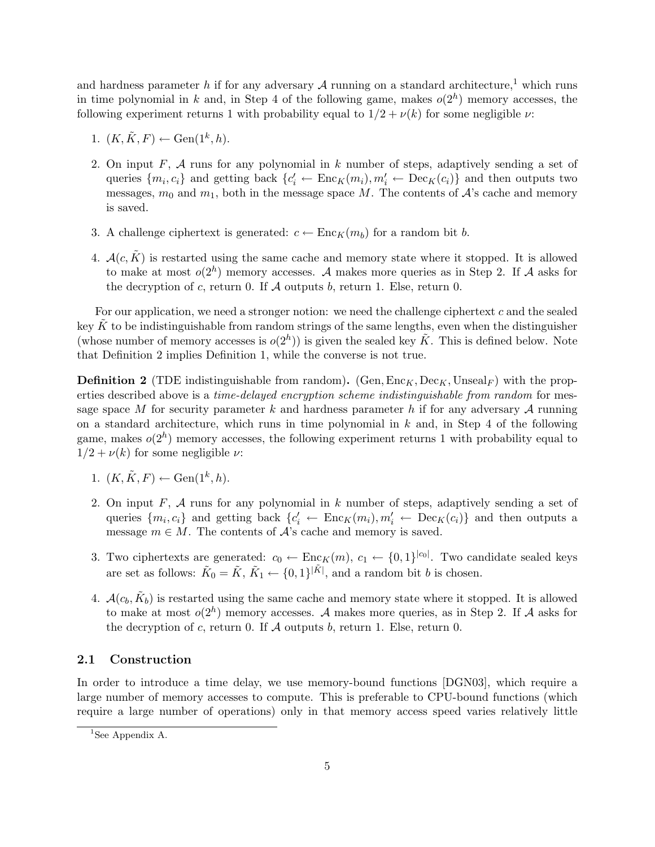and hardness parameter h if for any adversary  $A$  running on a standard architecture,<sup>1</sup> which runs in time polynomial in k and, in Step 4 of the following game, makes  $o(2<sup>h</sup>)$  memory accesses, the following experiment returns 1 with probability equal to  $1/2 + \nu(k)$  for some negligible  $\nu$ :

- 1.  $(K, \tilde{K}, F) \leftarrow \text{Gen}(1^k, h).$
- 2. On input F,  $\mathcal A$  runs for any polynomial in k number of steps, adaptively sending a set of queries  $\{m_i, c_i\}$  and getting back  $\{c'_i \leftarrow \text{Enc}_K(m_i), m'_i \leftarrow \text{Dec}_K(c_i)\}$  and then outputs two messages,  $m_0$  and  $m_1$ , both in the message space M. The contents of  $\mathcal{A}$ 's cache and memory is saved.
- 3. A challenge ciphertext is generated:  $c \leftarrow \text{Enc}_K(m_b)$  for a random bit b.
- 4.  $\mathcal{A}(c,\tilde{K})$  is restarted using the same cache and memory state where it stopped. It is allowed to make at most  $o(2<sup>h</sup>)$  memory accesses. A makes more queries as in Step 2. If A asks for the decryption of c, return 0. If  $A$  outputs b, return 1. Else, return 0.

For our application, we need a stronger notion: we need the challenge ciphertext c and the sealed key K to be indistinguishable from random strings of the same lengths, even when the distinguisher (whose number of memory accesses is  $o(2<sup>h</sup>)$ ) is given the sealed key  $\tilde{K}$ . This is defined below. Note that Definition 2 implies Definition 1, while the converse is not true.

**Definition 2** (TDE indistinguishable from random). (Gen,  $Enc_K, Dec_K$ , Unseal<sub>F</sub>) with the properties described above is a *time-delayed encryption scheme indistinguishable from random* for message space M for security parameter k and hardness parameter h if for any adversary A running on a standard architecture, which runs in time polynomial in  $k$  and, in Step 4 of the following game, makes  $o(2<sup>h</sup>)$  memory accesses, the following experiment returns 1 with probability equal to  $1/2 + \nu(k)$  for some negligible  $\nu$ :

- 1.  $(K, \tilde{K}, F) \leftarrow \text{Gen}(1^k, h).$
- 2. On input F,  $A$  runs for any polynomial in  $k$  number of steps, adaptively sending a set of queries  $\{m_i, c_i\}$  and getting back  $\{c'_i \leftarrow \text{Enc}_K(m_i), m'_i \leftarrow \text{Dec}_K(c_i)\}$  and then outputs a message  $m \in M$ . The contents of  $A$ 's cache and memory is saved.
- 3. Two ciphertexts are generated:  $c_0 \leftarrow \text{Enc}_K(m), c_1 \leftarrow \{0,1\}^{|c_0|}$ . Two candidate sealed keys are set as follows:  $\tilde{K}_0 = \tilde{K}$ ,  $\tilde{K}_1 \leftarrow \{0,1\}^{|\tilde{K}|}$ , and a random bit b is chosen.
- 4.  $\mathcal{A}(c_b, \tilde{K}_b)$  is restarted using the same cache and memory state where it stopped. It is allowed to make at most  $o(2<sup>h</sup>)$  memory accesses. A makes more queries, as in Step 2. If A asks for the decryption of  $c$ , return 0. If  $A$  outputs  $b$ , return 1. Else, return 0.

#### 2.1 Construction

In order to introduce a time delay, we use memory-bound functions [DGN03], which require a large number of memory accesses to compute. This is preferable to CPU-bound functions (which require a large number of operations) only in that memory access speed varies relatively little

<sup>&</sup>lt;sup>1</sup>See Appendix A.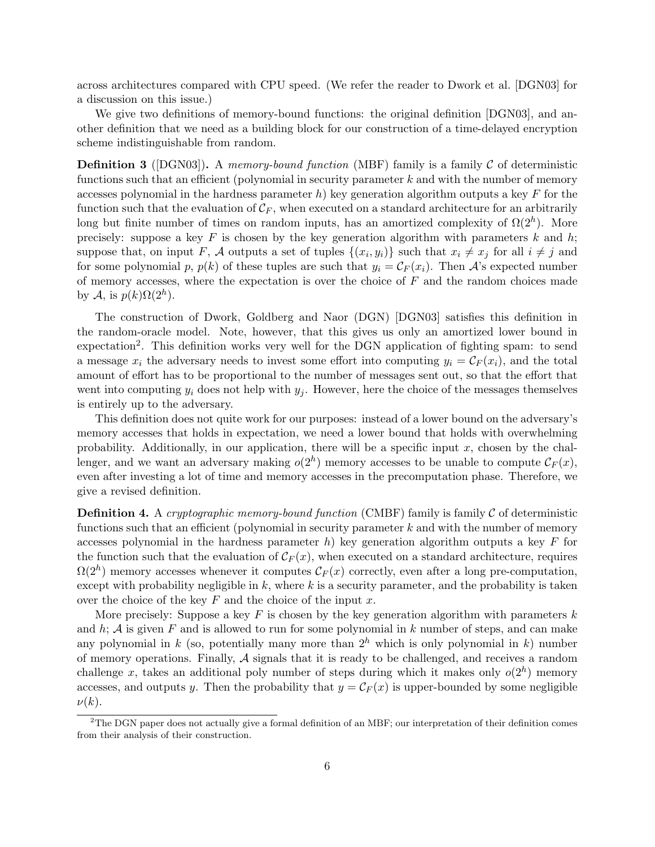across architectures compared with CPU speed. (We refer the reader to Dwork et al. [DGN03] for a discussion on this issue.)

We give two definitions of memory-bound functions: the original definition [DGN03], and another definition that we need as a building block for our construction of a time-delayed encryption scheme indistinguishable from random.

**Definition 3** ([DGN03]). A memory-bound function (MBF) family is a family  $C$  of deterministic functions such that an efficient (polynomial in security parameter  $k$  and with the number of memory accesses polynomial in the hardness parameter h) key generation algorithm outputs a key  $F$  for the function such that the evaluation of  $\mathcal{C}_F$ , when executed on a standard architecture for an arbitrarily long but finite number of times on random inputs, has an amortized complexity of  $\Omega(2^h)$ . More precisely: suppose a key  $F$  is chosen by the key generation algorithm with parameters  $k$  and  $h$ ; suppose that, on input F, A outputs a set of tuples  $\{(x_i, y_i)\}\$  such that  $x_i \neq x_j$  for all  $i \neq j$  and for some polynomial p,  $p(k)$  of these tuples are such that  $y_i = C_F(x_i)$ . Then A's expected number of memory accesses, where the expectation is over the choice of  $F$  and the random choices made by  $\mathcal{A}$ , is  $p(k)\Omega(2^h)$ .

The construction of Dwork, Goldberg and Naor (DGN) [DGN03] satisfies this definition in the random-oracle model. Note, however, that this gives us only an amortized lower bound in expectation<sup>2</sup>. This definition works very well for the DGN application of fighting spam: to send a message  $x_i$  the adversary needs to invest some effort into computing  $y_i = C_F(x_i)$ , and the total amount of effort has to be proportional to the number of messages sent out, so that the effort that went into computing  $y_i$  does not help with  $y_j$ . However, here the choice of the messages themselves is entirely up to the adversary.

This definition does not quite work for our purposes: instead of a lower bound on the adversary's memory accesses that holds in expectation, we need a lower bound that holds with overwhelming probability. Additionally, in our application, there will be a specific input  $x$ , chosen by the challenger, and we want an adversary making  $o(2<sup>h</sup>)$  memory accesses to be unable to compute  $\mathcal{C}_F(x)$ , even after investing a lot of time and memory accesses in the precomputation phase. Therefore, we give a revised definition.

**Definition 4.** A cryptographic memory-bound function (CMBF) family is family  $C$  of deterministic functions such that an efficient (polynomial in security parameter  $k$  and with the number of memory accesses polynomial in the hardness parameter h) key generation algorithm outputs a key  $F$  for the function such that the evaluation of  $\mathcal{C}_F(x)$ , when executed on a standard architecture, requires  $\Omega(2^h)$  memory accesses whenever it computes  $\mathcal{C}_F(x)$  correctly, even after a long pre-computation, except with probability negligible in  $k$ , where  $k$  is a security parameter, and the probability is taken over the choice of the key  $F$  and the choice of the input  $x$ .

More precisely: Suppose a key F is chosen by the key generation algorithm with parameters  $k$ and  $h$ ;  $A$  is given  $F$  and is allowed to run for some polynomial in  $k$  number of steps, and can make any polynomial in k (so, potentially many more than  $2<sup>h</sup>$  which is only polynomial in k) number of memory operations. Finally,  $A$  signals that it is ready to be challenged, and receives a random challenge x, takes an additional poly number of steps during which it makes only  $o(2<sup>h</sup>)$  memory accesses, and outputs y. Then the probability that  $y = C_F(x)$  is upper-bounded by some negligible  $\nu(k)$ .

 $2$ The DGN paper does not actually give a formal definition of an MBF; our interpretation of their definition comes from their analysis of their construction.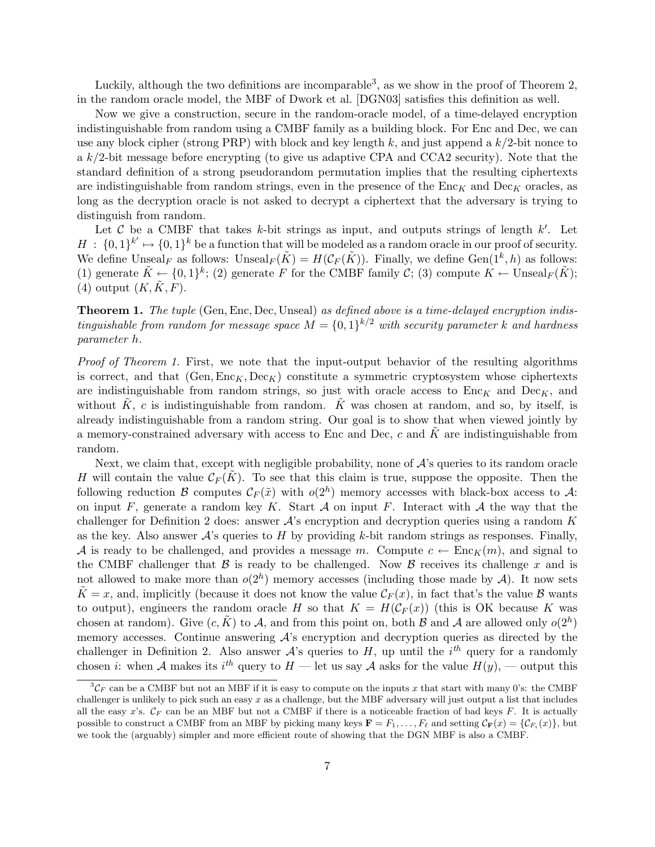Luckily, although the two definitions are incomparable<sup>3</sup>, as we show in the proof of Theorem 2, in the random oracle model, the MBF of Dwork et al. [DGN03] satisfies this definition as well.

Now we give a construction, secure in the random-oracle model, of a time-delayed encryption indistinguishable from random using a CMBF family as a building block. For Enc and Dec, we can use any block cipher (strong PRP) with block and key length k, and just append a  $k/2$ -bit nonce to a  $k/2$ -bit message before encrypting (to give us adaptive CPA and CCA2 security). Note that the standard definition of a strong pseudorandom permutation implies that the resulting ciphertexts are indistinguishable from random strings, even in the presence of the  $\text{Enc}_{K}$  and  $\text{Dec}_{K}$  oracles, as long as the decryption oracle is not asked to decrypt a ciphertext that the adversary is trying to distinguish from random.

Let C be a CMBF that takes k-bit strings as input, and outputs strings of length  $k'$ . Let  $H : \{0,1\}^k \mapsto \{0,1\}^k$  be a function that will be modeled as a random oracle in our proof of security. We define Unseal<sub>F</sub> as follows:  $\text{Unseal}_F(\tilde{K}) = H(\mathcal{C}_F(\tilde{K}))$ . Finally, we define  $\text{Gen}(1^k, h)$  as follows: (1) generate  $\tilde{K} \leftarrow \{0,1\}^k$ ; (2) generate F for the CMBF family C; (3) compute  $K \leftarrow \text{Unseal}_F(\tilde{K})$ ; (4) output  $(K, \tilde{K}, F)$ .

Theorem 1. The tuple (Gen, Enc, Dec, Unseal) as defined above is a time-delayed encryption indistinguishable from random for message space  $M = \{0,1\}^{k/2}$  with security parameter k and hardness parameter h.

Proof of Theorem 1. First, we note that the input-output behavior of the resulting algorithms is correct, and that  $(Gen, Enc_K, Dec_K)$  constitute a symmetric cryptosystem whose ciphertexts are indistinguishable from random strings, so just with oracle access to  $Enc_K$  and  $Dec_K$ , and without  $\tilde{K}$ , c is indistinguishable from random.  $\tilde{K}$  was chosen at random, and so, by itself, is already indistinguishable from a random string. Our goal is to show that when viewed jointly by a memory-constrained adversary with access to Enc and Dec,  $c$  and  $K$  are indistinguishable from random.

Next, we claim that, except with negligible probability, none of  $\mathcal{A}$ 's queries to its random oracle H will contain the value  $\mathcal{C}_F(\tilde{K})$ . To see that this claim is true, suppose the opposite. Then the following reduction B computes  $\mathcal{C}_F(\tilde{x})$  with  $o(2^h)$  memory accesses with black-box access to A: on input F, generate a random key K. Start  $A$  on input F. Interact with  $A$  the way that the challenger for Definition 2 does: answer A's encryption and decryption queries using a random K as the key. Also answer  $A$ 's queries to H by providing k-bit random strings as responses. Finally, A is ready to be challenged, and provides a message m. Compute  $c \leftarrow \text{Enc}_K(m)$ , and signal to the CMBF challenger that  $\beta$  is ready to be challenged. Now  $\beta$  receives its challenge x and is not allowed to make more than  $o(2<sup>h</sup>)$  memory accesses (including those made by A). It now sets  $\tilde{K} = x$ , and, implicitly (because it does not know the value  $\mathcal{C}_F(x)$ , in fact that's the value  $\beta$  wants to output), engineers the random oracle H so that  $K = H(\mathcal{C}_F(x))$  (this is OK because K was chosen at random). Give  $(c, \tilde{K})$  to A, and from this point on, both B and A are allowed only  $o(2<sup>h</sup>)$ memory accesses. Continue answering  $\mathcal{A}$ 's encryption and decryption queries as directed by the challenger in Definition 2. Also answer  $\mathcal{A}$ 's queries to H, up until the i<sup>th</sup> query for a randomly chosen *i*: when A makes its *i*<sup>th</sup> query to  $H$  — let us say A asks for the value  $H(y)$ , — output this

 ${}^{3}C_{F}$  can be a CMBF but not an MBF if it is easy to compute on the inputs x that start with many 0's: the CMBF challenger is unlikely to pick such an easy  $x$  as a challenge, but the MBF adversary will just output a list that includes all the easy x's.  $\mathcal{C}_F$  can be an MBF but not a CMBF if there is a noticeable fraction of bad keys  $F$ . It is actually possible to construct a CMBF from an MBF by picking many keys  $\mathbf{F} = F_1, \ldots, F_\ell$  and setting  $\mathcal{C}_{\mathbf{F}}(x) = \{C_{F_i}(x)\}\$ , but we took the (arguably) simpler and more efficient route of showing that the DGN MBF is also a CMBF.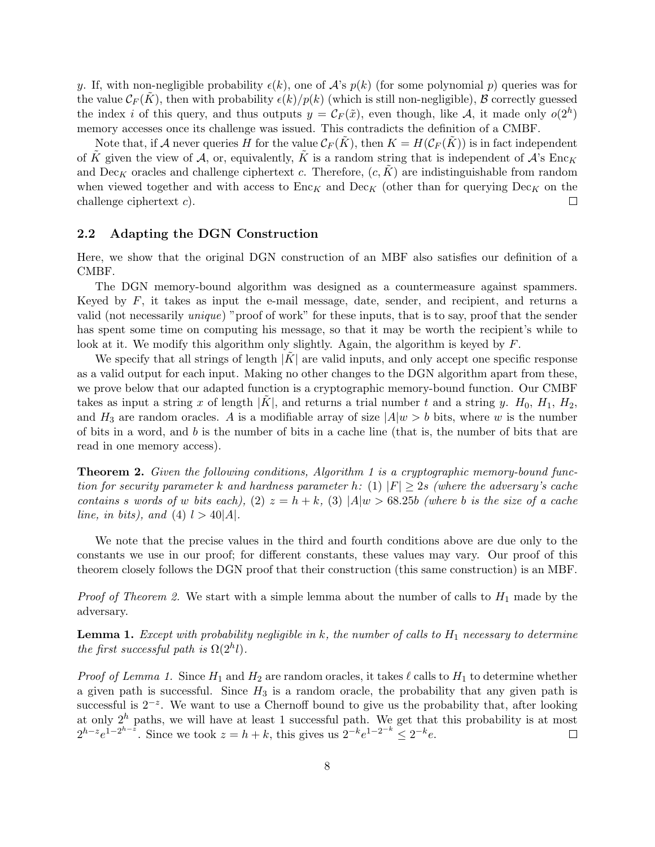y. If, with non-negligible probability  $\epsilon(k)$ , one of  $\mathcal{A}$ 's  $p(k)$  (for some polynomial p) queries was for the value  $\mathcal{C}_F(K)$ , then with probability  $\epsilon(k)/p(k)$  (which is still non-negligible), B correctly guessed the index i of this query, and thus outputs  $y = \mathcal{C}_F(\tilde{x})$ , even though, like A, it made only  $o(2<sup>h</sup>)$ memory accesses once its challenge was issued. This contradicts the definition of a CMBF.

Note that, if A never queries H for the value  $\mathcal{C}_F(K)$ , then  $K = H(\mathcal{C}_F(K))$  is in fact independent of K given the view of A, or, equivalently, K is a random string that is independent of  $\mathcal{A}$ 's Enc<sub>K</sub> and  $Dec_K$  oracles and challenge ciphertext c. Therefore,  $(c, K)$  are indistinguishable from random when viewed together and with access to  $Enc_K$  and  $Dec_K$  (other than for querying  $Dec_K$  on the challenge ciphertext c).  $\Box$ 

#### 2.2 Adapting the DGN Construction

Here, we show that the original DGN construction of an MBF also satisfies our definition of a CMBF.

The DGN memory-bound algorithm was designed as a countermeasure against spammers. Keyed by  $F$ , it takes as input the e-mail message, date, sender, and recipient, and returns a valid (not necessarily unique) "proof of work" for these inputs, that is to say, proof that the sender has spent some time on computing his message, so that it may be worth the recipient's while to look at it. We modify this algorithm only slightly. Again, the algorithm is keyed by F.

We specify that all strings of length  $|K|$  are valid inputs, and only accept one specific response as a valid output for each input. Making no other changes to the DGN algorithm apart from these, we prove below that our adapted function is a cryptographic memory-bound function. Our CMBF takes as input a string x of length  $|K|$ , and returns a trial number t and a string y.  $H_0$ ,  $H_1$ ,  $H_2$ , and  $H_3$  are random oracles. A is a modifiable array of size  $|A|w > b$  bits, where w is the number of bits in a word, and  $b$  is the number of bits in a cache line (that is, the number of bits that are read in one memory access).

**Theorem 2.** Given the following conditions, Algorithm 1 is a cryptographic memory-bound function for security parameter k and hardness parameter h: (1)  $|F| \geq 2s$  (where the adversary's cache contains s words of w bits each), (2)  $z = h + k$ , (3)  $|A|w > 68.25b$  (where b is the size of a cache line, in bits), and (4)  $l > 40|A|$ .

We note that the precise values in the third and fourth conditions above are due only to the constants we use in our proof; for different constants, these values may vary. Our proof of this theorem closely follows the DGN proof that their construction (this same construction) is an MBF.

*Proof of Theorem 2.* We start with a simple lemma about the number of calls to  $H_1$  made by the adversary.

**Lemma 1.** Except with probability negligible in  $k$ , the number of calls to  $H_1$  necessary to determine the first successful path is  $\Omega(2^h l)$ .

*Proof of Lemma 1.* Since  $H_1$  and  $H_2$  are random oracles, it takes  $\ell$  calls to  $H_1$  to determine whether a given path is successful. Since  $H_3$  is a random oracle, the probability that any given path is successful is  $2^{-z}$ . We want to use a Chernoff bound to give us the probability that, after looking at only  $2^h$  paths, we will have at least 1 successful path. We get that this probability is at most  $2^{h-z}e^{1-2^{h-\bar{z}}}.$  Since we took  $z = h + k$ , this gives us  $2^{-k}e^{1-2^{-k}} \leq 2^{-k}e$ .  $\Box$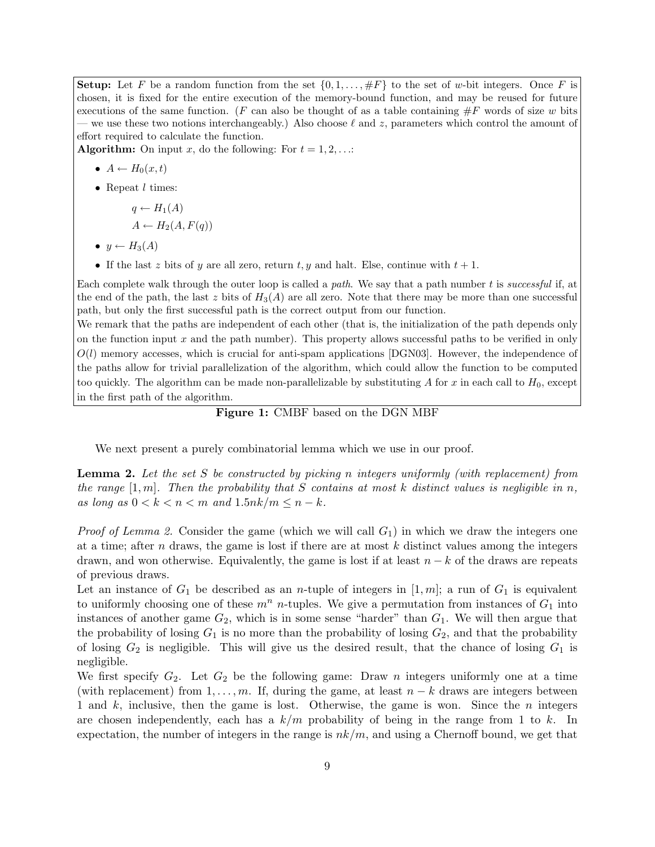**Setup:** Let F be a random function from the set  $\{0, 1, \ldots, \#F\}$  to the set of w-bit integers. Once F is chosen, it is fixed for the entire execution of the memory-bound function, and may be reused for future executions of the same function. (F can also be thought of as a table containing  $\#F$  words of size w bits we use these two notions interchangeably.) Also choose  $\ell$  and z, parameters which control the amount of effort required to calculate the function.

**Algorithm:** On input x, do the following: For  $t = 1, 2, \ldots$ :

•  $A \leftarrow H_0(x,t)$ 

• Repeat  $l$  times:

$$
q \leftarrow H_1(A) A \leftarrow H_2(A, F(q))
$$

- $y \leftarrow H_3(A)$
- If the last z bits of y are all zero, return t, y and halt. Else, continue with  $t + 1$ .

Each complete walk through the outer loop is called a path. We say that a path number t is successful if, at the end of the path, the last z bits of  $H_3(A)$  are all zero. Note that there may be more than one successful path, but only the first successful path is the correct output from our function.

We remark that the paths are independent of each other (that is, the initialization of the path depends only on the function input  $x$  and the path number). This property allows successful paths to be verified in only  $O(l)$  memory accesses, which is crucial for anti-spam applications [DGN03]. However, the independence of the paths allow for trivial parallelization of the algorithm, which could allow the function to be computed too quickly. The algorithm can be made non-parallelizable by substituting A for x in each call to  $H_0$ , except in the first path of the algorithm.

#### Figure 1: CMBF based on the DGN MBF

We next present a purely combinatorial lemma which we use in our proof.

**Lemma 2.** Let the set S be constructed by picking n integers uniformly (with replacement) from the range  $[1, m]$ . Then the probability that S contains at most k distinct values is negligible in n, as long as  $0 < k < n < m$  and  $1.5nk/m \le n - k$ .

*Proof of Lemma 2.* Consider the game (which we will call  $G_1$ ) in which we draw the integers one at a time; after  $n$  draws, the game is lost if there are at most  $k$  distinct values among the integers drawn, and won otherwise. Equivalently, the game is lost if at least  $n - k$  of the draws are repeats of previous draws.

Let an instance of  $G_1$  be described as an *n*-tuple of integers in [1, m]; a run of  $G_1$  is equivalent to uniformly choosing one of these  $m^n$  *n*-tuples. We give a permutation from instances of  $G_1$  into instances of another game  $G_2$ , which is in some sense "harder" than  $G_1$ . We will then argue that the probability of losing  $G_1$  is no more than the probability of losing  $G_2$ , and that the probability of losing  $G_2$  is negligible. This will give us the desired result, that the chance of losing  $G_1$  is negligible.

We first specify  $G_2$ . Let  $G_2$  be the following game: Draw *n* integers uniformly one at a time (with replacement) from  $1, \ldots, m$ . If, during the game, at least  $n - k$  draws are integers between 1 and  $k$ , inclusive, then the game is lost. Otherwise, the game is won. Since the  $n$  integers are chosen independently, each has a  $k/m$  probability of being in the range from 1 to k. In expectation, the number of integers in the range is  $nk/m$ , and using a Chernoff bound, we get that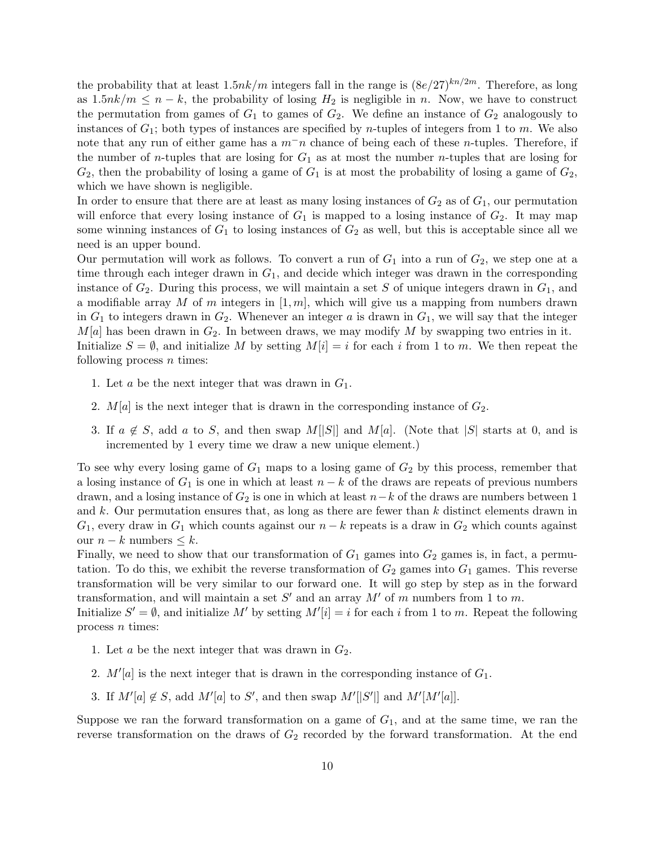the probability that at least  $1.5nk/m$  integers fall in the range is  $(8e/27)^{kn/2m}$ . Therefore, as long as  $1.5nk/m \leq n-k$ , the probability of losing  $H_2$  is negligible in n. Now, we have to construct the permutation from games of  $G_1$  to games of  $G_2$ . We define an instance of  $G_2$  analogously to instances of  $G_1$ ; both types of instances are specified by *n*-tuples of integers from 1 to *m*. We also note that any run of either game has a  $m^-n$  chance of being each of these n-tuples. Therefore, if the number of *n*-tuples that are losing for  $G_1$  as at most the number *n*-tuples that are losing for  $G_2$ , then the probability of losing a game of  $G_1$  is at most the probability of losing a game of  $G_2$ , which we have shown is negligible.

In order to ensure that there are at least as many losing instances of  $G_2$  as of  $G_1$ , our permutation will enforce that every losing instance of  $G_1$  is mapped to a losing instance of  $G_2$ . It may map some winning instances of  $G_1$  to losing instances of  $G_2$  as well, but this is acceptable since all we need is an upper bound.

Our permutation will work as follows. To convert a run of  $G_1$  into a run of  $G_2$ , we step one at a time through each integer drawn in  $G_1$ , and decide which integer was drawn in the corresponding instance of  $G_2$ . During this process, we will maintain a set S of unique integers drawn in  $G_1$ , and a modifiable array M of m integers in  $[1, m]$ , which will give us a mapping from numbers drawn in  $G_1$  to integers drawn in  $G_2$ . Whenever an integer a is drawn in  $G_1$ , we will say that the integer  $M[a]$  has been drawn in  $G_2$ . In between draws, we may modify M by swapping two entries in it. Initialize  $S = \emptyset$ , and initialize M by setting  $M[i] = i$  for each i from 1 to m. We then repeat the following process  $n$  times:

- 1. Let  $a$  be the next integer that was drawn in  $G_1$ .
- 2.  $M[a]$  is the next integer that is drawn in the corresponding instance of  $G_2$ .
- 3. If  $a \notin S$ , add a to S, and then swap M[|S|| and M[a]. (Note that |S| starts at 0, and is incremented by 1 every time we draw a new unique element.)

To see why every losing game of  $G_1$  maps to a losing game of  $G_2$  by this process, remember that a losing instance of  $G_1$  is one in which at least  $n - k$  of the draws are repeats of previous numbers drawn, and a losing instance of  $G_2$  is one in which at least  $n-k$  of the draws are numbers between 1 and  $k$ . Our permutation ensures that, as long as there are fewer than  $k$  distinct elements drawn in  $G_1$ , every draw in  $G_1$  which counts against our  $n - k$  repeats is a draw in  $G_2$  which counts against our  $n - k$  numbers  $\leq k$ .

Finally, we need to show that our transformation of  $G_1$  games into  $G_2$  games is, in fact, a permutation. To do this, we exhibit the reverse transformation of  $G_2$  games into  $G_1$  games. This reverse transformation will be very similar to our forward one. It will go step by step as in the forward transformation, and will maintain a set  $S'$  and an array  $M'$  of m numbers from 1 to m.

Initialize  $S' = \emptyset$ , and initialize M' by setting  $M'[i] = i$  for each i from 1 to m. Repeat the following process  $n$  times:

- 1. Let  $a$  be the next integer that was drawn in  $G_2$ .
- 2.  $M'[a]$  is the next integer that is drawn in the corresponding instance of  $G_1$ .
- 3. If  $M'[a] \notin S$ , add  $M'[a]$  to  $S'$ , and then swap  $M'[S']$  and  $M'[M'[a]]$ .

Suppose we ran the forward transformation on a game of  $G_1$ , and at the same time, we ran the reverse transformation on the draws of  $G_2$  recorded by the forward transformation. At the end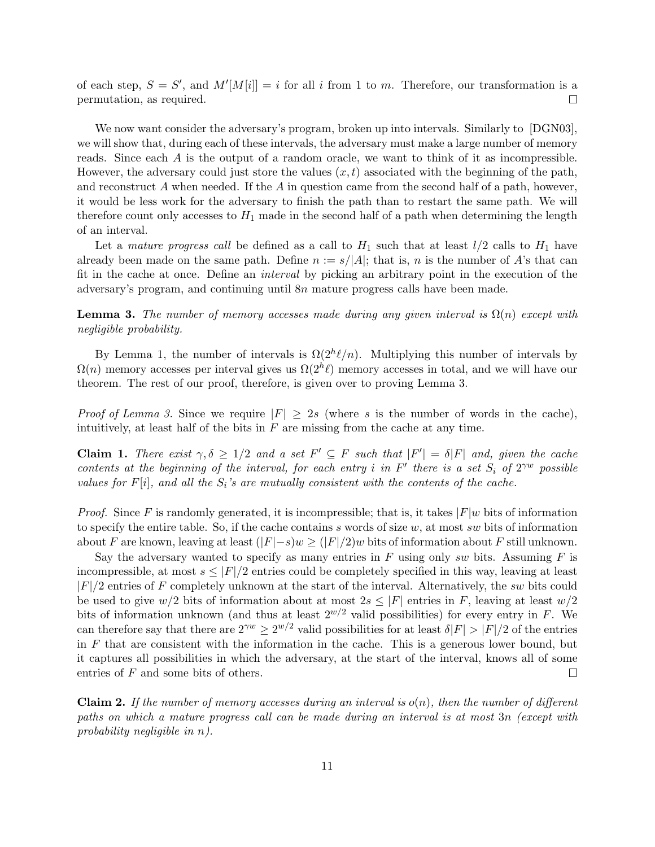of each step,  $S = S'$ , and  $M'[M[i]] = i$  for all i from 1 to m. Therefore, our transformation is a permutation, as required.  $\Box$ 

We now want consider the adversary's program, broken up into intervals. Similarly to [DGN03], we will show that, during each of these intervals, the adversary must make a large number of memory reads. Since each A is the output of a random oracle, we want to think of it as incompressible. However, the adversary could just store the values  $(x, t)$  associated with the beginning of the path, and reconstruct  $A$  when needed. If the  $A$  in question came from the second half of a path, however, it would be less work for the adversary to finish the path than to restart the same path. We will therefore count only accesses to  $H_1$  made in the second half of a path when determining the length of an interval.

Let a mature progress call be defined as a call to  $H_1$  such that at least  $l/2$  calls to  $H_1$  have already been made on the same path. Define  $n := s/|A|$ ; that is, n is the number of A's that can fit in the cache at once. Define an interval by picking an arbitrary point in the execution of the adversary's program, and continuing until 8n mature progress calls have been made.

**Lemma 3.** The number of memory accesses made during any given interval is  $\Omega(n)$  except with negligible probability.

By Lemma 1, the number of intervals is  $\Omega(2^{h}\ell/n)$ . Multiplying this number of intervals by  $\Omega(n)$  memory accesses per interval gives us  $\Omega(2^h\ell)$  memory accesses in total, and we will have our theorem. The rest of our proof, therefore, is given over to proving Lemma 3.

*Proof of Lemma 3.* Since we require  $|F| \geq 2s$  (where s is the number of words in the cache), intuitively, at least half of the bits in  $F$  are missing from the cache at any time.

**Claim 1.** There exist  $\gamma, \delta \geq 1/2$  and a set  $F' \subseteq F$  such that  $|F'| = \delta |F|$  and, given the cache contents at the beginning of the interval, for each entry i in  $F'$  there is a set  $S_i$  of  $2^{\gamma w}$  possible values for  $F[i]$ , and all the  $S_i$ 's are mutually consistent with the contents of the cache.

*Proof.* Since F is randomly generated, it is incompressible; that is, it takes  $|F|w$  bits of information to specify the entire table. So, if the cache contains s words of size  $w$ , at most sw bits of information about F are known, leaving at least  $(|F|-s)w \geq (|F|/2)w$  bits of information about F still unknown.

Say the adversary wanted to specify as many entries in  $F$  using only sw bits. Assuming  $F$  is incompressible, at most  $s \leq |F|/2$  entries could be completely specified in this way, leaving at least  $|F|/2$  entries of F completely unknown at the start of the interval. Alternatively, the sw bits could be used to give  $w/2$  bits of information about at most  $2s \leq |F|$  entries in F, leaving at least  $w/2$ bits of information unknown (and thus at least  $2^{w/2}$  valid possibilities) for every entry in F. We can therefore say that there are  $2^{\gamma w} \ge 2^{w/2}$  valid possibilities for at least  $\delta |F| > |F|/2$  of the entries in  $F$  that are consistent with the information in the cache. This is a generous lower bound, but it captures all possibilities in which the adversary, at the start of the interval, knows all of some  $\Box$ entries of  $F$  and some bits of others.

**Claim 2.** If the number of memory accesses during an interval is  $o(n)$ , then the number of different paths on which a mature progress call can be made during an interval is at most 3n (except with probability negligible in n).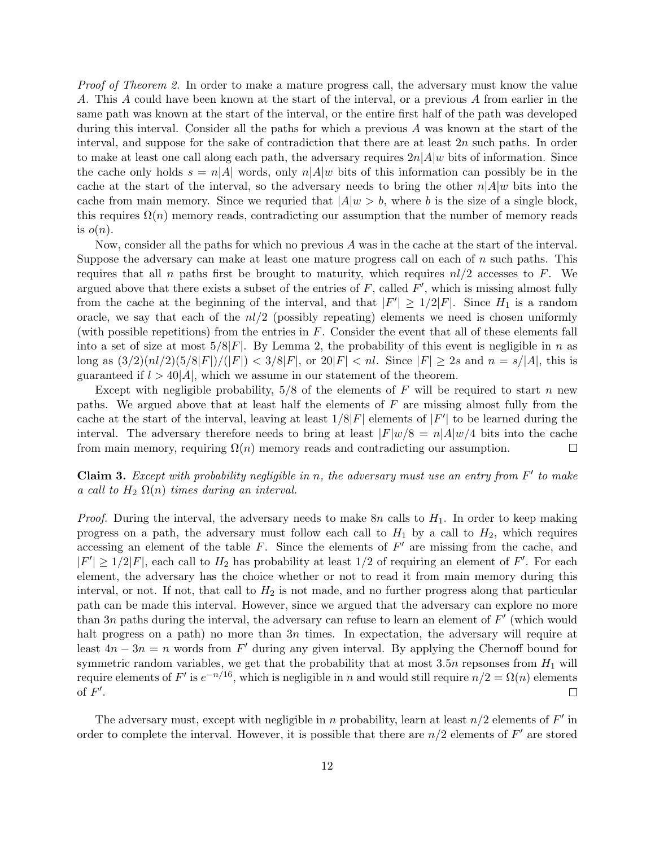*Proof of Theorem 2.* In order to make a mature progress call, the adversary must know the value A. This A could have been known at the start of the interval, or a previous A from earlier in the same path was known at the start of the interval, or the entire first half of the path was developed during this interval. Consider all the paths for which a previous A was known at the start of the interval, and suppose for the sake of contradiction that there are at least 2n such paths. In order to make at least one call along each path, the adversary requires  $2n|A|w$  bits of information. Since the cache only holds  $s = n|A|$  words, only  $n|A|w$  bits of this information can possibly be in the cache at the start of the interval, so the adversary needs to bring the other  $n|A|w$  bits into the cache from main memory. Since we requried that  $|A|w > b$ , where b is the size of a single block, this requires  $\Omega(n)$  memory reads, contradicting our assumption that the number of memory reads is  $o(n)$ .

Now, consider all the paths for which no previous A was in the cache at the start of the interval. Suppose the adversary can make at least one mature progress call on each of  $n$  such paths. This requires that all n paths first be brought to maturity, which requires  $nl/2$  accesses to F. We argued above that there exists a subset of the entries of  $F$ , called  $F'$ , which is missing almost fully from the cache at the beginning of the interval, and that  $|F'| \geq 1/2|F|$ . Since  $H_1$  is a random oracle, we say that each of the  $nl/2$  (possibly repeating) elements we need is chosen uniformly (with possible repetitions) from the entries in  $F$ . Consider the event that all of these elements fall into a set of size at most  $5/8|F|$ . By Lemma 2, the probability of this event is negligible in n as long as  $(3/2)(n!/2)(5/8|F|)/(|F|) < 3/8|F|$ , or  $20|F| < n!$ . Since  $|F| \geq 2s$  and  $n = s/|A|$ , this is guaranteed if  $l > 40|A|$ , which we assume in our statement of the theorem.

Except with negligible probability,  $5/8$  of the elements of F will be required to start n new paths. We argued above that at least half the elements of  $F$  are missing almost fully from the cache at the start of the interval, leaving at least  $1/8|F|$  elements of  $|F'|$  to be learned during the interval. The adversary therefore needs to bring at least  $|F|w/8 = n|A|w/4$  bits into the cache from main memory, requiring  $\Omega(n)$  memory reads and contradicting our assumption.  $\Box$ 

**Claim 3.** Except with probability negligible in n, the adversary must use an entry from  $F'$  to make a call to  $H_2 \Omega(n)$  times during an interval.

*Proof.* During the interval, the adversary needs to make  $8n$  calls to  $H_1$ . In order to keep making progress on a path, the adversary must follow each call to  $H_1$  by a call to  $H_2$ , which requires accessing an element of the table  $F$ . Since the elements of  $F'$  are missing from the cache, and  $|F'| \geq 1/2|F|$ , each call to  $H_2$  has probability at least  $1/2$  of requiring an element of F'. For each element, the adversary has the choice whether or not to read it from main memory during this interval, or not. If not, that call to  $H_2$  is not made, and no further progress along that particular path can be made this interval. However, since we argued that the adversary can explore no more than 3n paths during the interval, the adversary can refuse to learn an element of  $F'$  (which would halt progress on a path) no more than 3n times. In expectation, the adversary will require at least  $4n - 3n = n$  words from F' during any given interval. By applying the Chernoff bound for symmetric random variables, we get that the probability that at most  $3.5n$  repsonses from  $H_1$  will require elements of F' is  $e^{-n/16}$ , which is negligible in n and would still require  $n/2 = \Omega(n)$  elements of  $F'$ .  $\Box$ 

The adversary must, except with negligible in n probability, learn at least  $n/2$  elements of  $F'$  in order to complete the interval. However, it is possible that there are  $n/2$  elements of  $F'$  are stored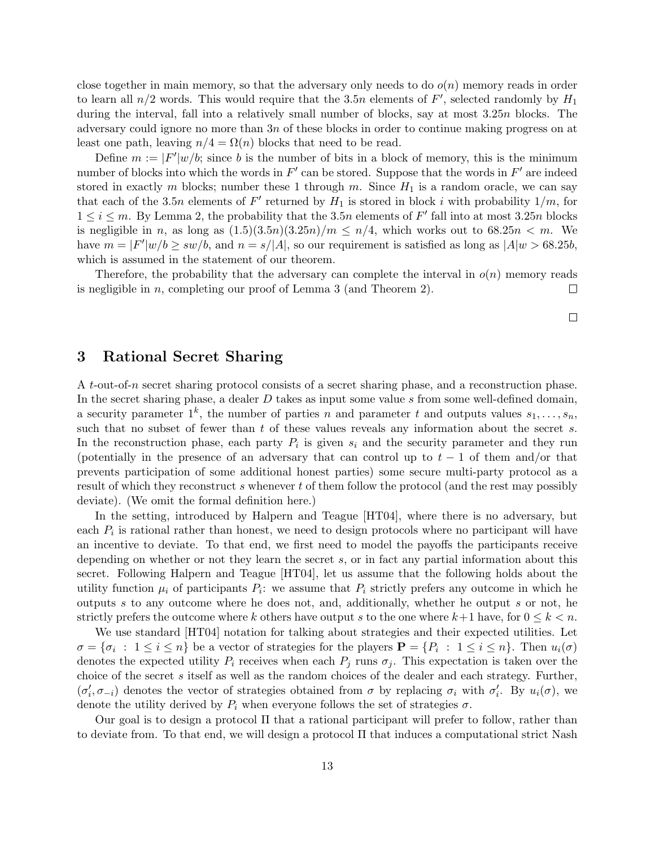close together in main memory, so that the adversary only needs to do  $o(n)$  memory reads in order to learn all  $n/2$  words. This would require that the 3.5n elements of  $F'$ , selected randomly by  $H_1$ during the interval, fall into a relatively small number of blocks, say at most 3.25n blocks. The adversary could ignore no more than 3n of these blocks in order to continue making progress on at least one path, leaving  $n/4 = \Omega(n)$  blocks that need to be read.

Define  $m := |F'|w/b$ ; since b is the number of bits in a block of memory, this is the minimum number of blocks into which the words in  $F'$  can be stored. Suppose that the words in  $F'$  are indeed stored in exactly m blocks; number these 1 through m. Since  $H_1$  is a random oracle, we can say that each of the 3.5n elements of  $F'$  returned by  $H_1$  is stored in block i with probability  $1/m$ , for  $1 \leq i \leq m$ . By Lemma 2, the probability that the 3.5n elements of F' fall into at most 3.25n blocks is negligible in n, as long as  $(1.5)(3.5n)(3.25n)/m \leq n/4$ , which works out to 68.25n  $\leq m$ . We have  $m = |F'|w/b \ge sw/b$ , and  $n = s/|A|$ , so our requirement is satisfied as long as  $|A|w > 68.25b$ , which is assumed in the statement of our theorem.

Therefore, the probability that the adversary can complete the interval in  $o(n)$  memory reads is negligible in n, completing our proof of Lemma 3 (and Theorem 2).  $\Box$ 

 $\Box$ 

#### 3 Rational Secret Sharing

A t-out-of-n secret sharing protocol consists of a secret sharing phase, and a reconstruction phase. In the secret sharing phase, a dealer  $D$  takes as input some value  $s$  from some well-defined domain, a security parameter  $1^k$ , the number of parties n and parameter t and outputs values  $s_1, \ldots, s_n$ , such that no subset of fewer than  $t$  of these values reveals any information about the secret  $s$ . In the reconstruction phase, each party  $P_i$  is given  $s_i$  and the security parameter and they run (potentially in the presence of an adversary that can control up to  $t - 1$  of them and/or that prevents participation of some additional honest parties) some secure multi-party protocol as a result of which they reconstruct s whenever t of them follow the protocol (and the rest may possibly deviate). (We omit the formal definition here.)

In the setting, introduced by Halpern and Teague [HT04], where there is no adversary, but each  $P_i$  is rational rather than honest, we need to design protocols where no participant will have an incentive to deviate. To that end, we first need to model the payoffs the participants receive depending on whether or not they learn the secret s, or in fact any partial information about this secret. Following Halpern and Teague [HT04], let us assume that the following holds about the utility function  $\mu_i$  of participants  $P_i$ : we assume that  $P_i$  strictly prefers any outcome in which he outputs s to any outcome where he does not, and, additionally, whether he output s or not, he strictly prefers the outcome where k others have output s to the one where  $k+1$  have, for  $0 \leq k \leq n$ .

We use standard [HT04] notation for talking about strategies and their expected utilities. Let  $\sigma = {\sigma_i} : 1 \leq i \leq n$  be a vector of strategies for the players  $\mathbf{P} = {P_i} : 1 \leq i \leq n$ . Then  $u_i(\sigma)$ denotes the expected utility  $P_i$  receives when each  $P_j$  runs  $\sigma_j$ . This expectation is taken over the choice of the secret  $s$  itself as well as the random choices of the dealer and each strategy. Further,  $(\sigma'_i, \sigma_{-i})$  denotes the vector of strategies obtained from  $\sigma$  by replacing  $\sigma_i$  with  $\sigma'_i$ . By  $u_i(\sigma)$ , we denote the utility derived by  $P_i$  when everyone follows the set of strategies  $\sigma$ .

Our goal is to design a protocol Π that a rational participant will prefer to follow, rather than to deviate from. To that end, we will design a protocol  $\Pi$  that induces a computational strict Nash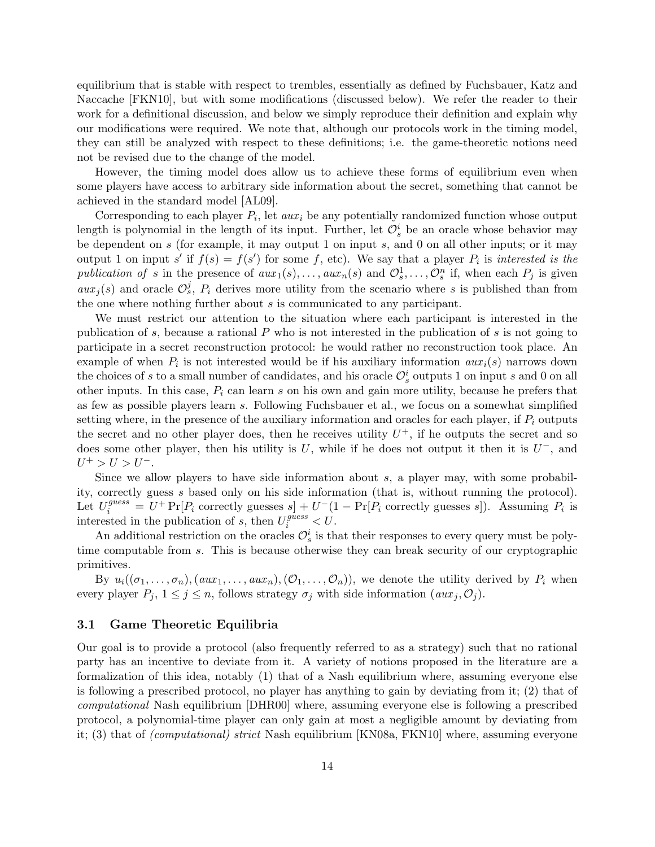equilibrium that is stable with respect to trembles, essentially as defined by Fuchsbauer, Katz and Naccache [FKN10], but with some modifications (discussed below). We refer the reader to their work for a definitional discussion, and below we simply reproduce their definition and explain why our modifications were required. We note that, although our protocols work in the timing model, they can still be analyzed with respect to these definitions; i.e. the game-theoretic notions need not be revised due to the change of the model.

However, the timing model does allow us to achieve these forms of equilibrium even when some players have access to arbitrary side information about the secret, something that cannot be achieved in the standard model [AL09].

Corresponding to each player  $P_i$ , let  $aux_i$  be any potentially randomized function whose output length is polynomial in the length of its input. Further, let  $\mathcal{O}_s^i$  be an oracle whose behavior may be dependent on s (for example, it may output 1 on input s, and 0 on all other inputs; or it may output 1 on input s' if  $f(s) = f(s')$  for some f, etc). We say that a player  $P_i$  is interested is the publication of s in the presence of  $aux_1(s), \ldots, aux_n(s)$  and  $\mathcal{O}_s^1, \ldots, \mathcal{O}_s^n$  if, when each  $P_j$  is given  $aux_j(s)$  and oracle  $\mathcal{O}_s^j$ ,  $P_i$  derives more utility from the scenario where s is published than from the one where nothing further about s is communicated to any participant.

We must restrict our attention to the situation where each participant is interested in the publication of s, because a rational  $P$  who is not interested in the publication of s is not going to participate in a secret reconstruction protocol: he would rather no reconstruction took place. An example of when  $P_i$  is not interested would be if his auxiliary information  $aux_i(s)$  narrows down the choices of s to a small number of candidates, and his oracle  $\mathcal{O}_s^i$  outputs 1 on input s and 0 on all other inputs. In this case,  $P_i$  can learn s on his own and gain more utility, because he prefers that as few as possible players learn s. Following Fuchsbauer et al., we focus on a somewhat simplified setting where, in the presence of the auxiliary information and oracles for each player, if  $P_i$  outputs the secret and no other player does, then he receives utility  $U^+$ , if he outputs the secret and so does some other player, then his utility is U, while if he does not output it then it is  $U^-$ , and  $U^+ > U > U^-$ .

Since we allow players to have side information about s, a player may, with some probability, correctly guess s based only on his side information (that is, without running the protocol). Let  $U_i^{guess} = U^+ \Pr[P_i \text{ correctly guesses } s] + U^-(1 - \Pr[P_i \text{ correctly guesses } s])$ . Assuming  $P_i$  is interested in the publication of s, then  $U_i^{guess} < U$ .

An additional restriction on the oracles  $\mathcal{O}_s^i$  is that their responses to every query must be polytime computable from s. This is because otherwise they can break security of our cryptographic primitives.

By  $u_i((\sigma_1,\ldots,\sigma_n),(aux_1,\ldots,aux_n),(\mathcal{O}_1,\ldots,\mathcal{O}_n))$ , we denote the utility derived by  $P_i$  when every player  $P_j$ ,  $1 \leq j \leq n$ , follows strategy  $\sigma_j$  with side information  $(aux_j, O_j)$ .

#### 3.1 Game Theoretic Equilibria

Our goal is to provide a protocol (also frequently referred to as a strategy) such that no rational party has an incentive to deviate from it. A variety of notions proposed in the literature are a formalization of this idea, notably (1) that of a Nash equilibrium where, assuming everyone else is following a prescribed protocol, no player has anything to gain by deviating from it; (2) that of computational Nash equilibrium [DHR00] where, assuming everyone else is following a prescribed protocol, a polynomial-time player can only gain at most a negligible amount by deviating from it; (3) that of (computational) strict Nash equilibrium [KN08a, FKN10] where, assuming everyone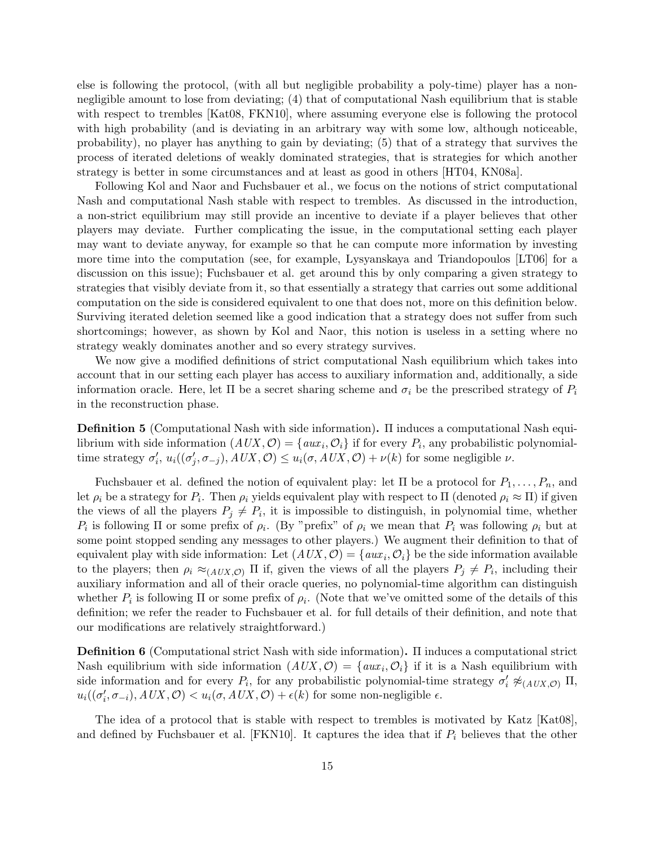else is following the protocol, (with all but negligible probability a poly-time) player has a nonnegligible amount to lose from deviating; (4) that of computational Nash equilibrium that is stable with respect to trembles [Kat08, FKN10], where assuming everyone else is following the protocol with high probability (and is deviating in an arbitrary way with some low, although noticeable, probability), no player has anything to gain by deviating; (5) that of a strategy that survives the process of iterated deletions of weakly dominated strategies, that is strategies for which another strategy is better in some circumstances and at least as good in others [HT04, KN08a].

Following Kol and Naor and Fuchsbauer et al., we focus on the notions of strict computational Nash and computational Nash stable with respect to trembles. As discussed in the introduction, a non-strict equilibrium may still provide an incentive to deviate if a player believes that other players may deviate. Further complicating the issue, in the computational setting each player may want to deviate anyway, for example so that he can compute more information by investing more time into the computation (see, for example, Lysyanskaya and Triandopoulos [LT06] for a discussion on this issue); Fuchsbauer et al. get around this by only comparing a given strategy to strategies that visibly deviate from it, so that essentially a strategy that carries out some additional computation on the side is considered equivalent to one that does not, more on this definition below. Surviving iterated deletion seemed like a good indication that a strategy does not suffer from such shortcomings; however, as shown by Kol and Naor, this notion is useless in a setting where no strategy weakly dominates another and so every strategy survives.

We now give a modified definitions of strict computational Nash equilibrium which takes into account that in our setting each player has access to auxiliary information and, additionally, a side information oracle. Here, let  $\Pi$  be a secret sharing scheme and  $\sigma_i$  be the prescribed strategy of  $P_i$ in the reconstruction phase.

Definition 5 (Computational Nash with side information). Π induces a computational Nash equilibrium with side information  $(AUX, \mathcal{O}) = \{aux_i, \mathcal{O}_i\}$  if for every  $P_i$ , any probabilistic polynomialtime strategy  $\sigma'_i$ ,  $u_i((\sigma'_j, \sigma_{-j}), AUX, \mathcal{O}) \leq u_i(\sigma, AUX, \mathcal{O}) + \nu(k)$  for some negligible  $\nu$ .

Fuchsbauer et al. defined the notion of equivalent play: let  $\Pi$  be a protocol for  $P_1, \ldots, P_n$ , and let  $\rho_i$  be a strategy for  $P_i$ . Then  $\rho_i$  yields equivalent play with respect to  $\Pi$  (denoted  $\rho_i \approx \Pi$ ) if given the views of all the players  $P_j \neq P_i$ , it is impossible to distinguish, in polynomial time, whether  $P_i$  is following  $\Pi$  or some prefix of  $\rho_i$ . (By "prefix" of  $\rho_i$  we mean that  $P_i$  was following  $\rho_i$  but at some point stopped sending any messages to other players.) We augment their definition to that of equivalent play with side information: Let  $(AUX, \mathcal{O}) = \{aux_i, \mathcal{O}_i\}$  be the side information available to the players; then  $\rho_i \approx_{(AUX, \mathcal{O})} \Pi$  if, given the views of all the players  $P_j \neq P_i$ , including their auxiliary information and all of their oracle queries, no polynomial-time algorithm can distinguish whether  $P_i$  is following  $\Pi$  or some prefix of  $\rho_i$ . (Note that we've omitted some of the details of this definition; we refer the reader to Fuchsbauer et al. for full details of their definition, and note that our modifications are relatively straightforward.)

Definition 6 (Computational strict Nash with side information). Π induces a computational strict Nash equilibrium with side information  $(AUX, \mathcal{O}) = \{aux_i, \mathcal{O}_i\}$  if it is a Nash equilibrium with side information and for every  $P_i$ , for any probabilistic polynomial-time strategy  $\sigma'_i \not\approx_{(AUX,\mathcal{O})} \Pi$ ,  $u_i((\sigma'_i, \sigma_{-i}), AUX, \mathcal{O}) \lt u_i(\sigma, AUX, \mathcal{O}) + \epsilon(k)$  for some non-negligible  $\epsilon$ .

The idea of a protocol that is stable with respect to trembles is motivated by Katz [Kat08], and defined by Fuchsbauer et al. [FKN10]. It captures the idea that if  $P_i$  believes that the other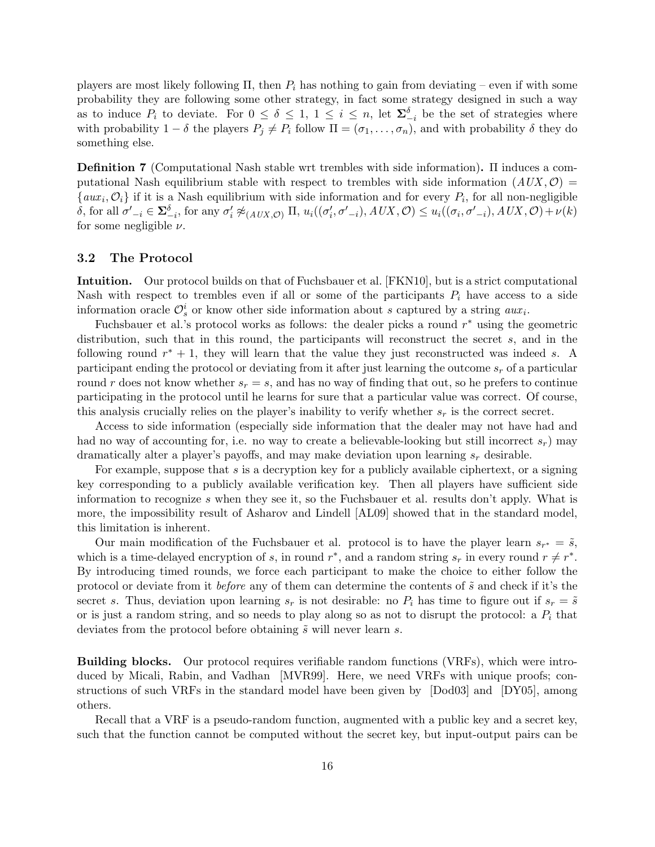players are most likely following  $\Pi$ , then  $P_i$  has nothing to gain from deviating – even if with some probability they are following some other strategy, in fact some strategy designed in such a way as to induce  $P_i$  to deviate. For  $0 \leq \delta \leq 1, 1 \leq i \leq n$ , let  $\Sigma_{-i}^{\delta}$  be the set of strategies where with probability  $1 - \delta$  the players  $P_j \neq P_i$  follow  $\Pi = (\sigma_1, \ldots, \sigma_n)$ , and with probability  $\delta$  they do something else.

Definition 7 (Computational Nash stable wrt trembles with side information). Π induces a computational Nash equilibrium stable with respect to trembles with side information  $(AUX, \mathcal{O}) =$  $\{aux_i, \mathcal{O}_i\}$  if it is a Nash equilibrium with side information and for every  $P_i$ , for all non-negligible  $\delta$ , for all  $\sigma'_{-i} \in \mathbf{\Sigma}_{-i}^{\delta}$ , for any  $\sigma'_{i} \not\approx_{(AUX,\mathcal{O})} \Pi$ ,  $u_{i}((\sigma'_{i}, \sigma'_{-i}), AUX, \mathcal{O}) \leq u_{i}((\sigma_{i}, \sigma'_{-i}), AUX, \mathcal{O}) + \nu(k)$ for some negligible  $\nu$ .

#### 3.2 The Protocol

Intuition. Our protocol builds on that of Fuchsbauer et al. [FKN10], but is a strict computational Nash with respect to trembles even if all or some of the participants  $P_i$  have access to a side information oracle  $\mathcal{O}_s^i$  or know other side information about s captured by a string  $aux_i$ .

Fuchsbauer et al.'s protocol works as follows: the dealer picks a round  $r^*$  using the geometric distribution, such that in this round, the participants will reconstruct the secret s, and in the following round  $r^* + 1$ , they will learn that the value they just reconstructed was indeed s. A participant ending the protocol or deviating from it after just learning the outcome  $s_r$  of a particular round r does not know whether  $s_r = s$ , and has no way of finding that out, so he prefers to continue participating in the protocol until he learns for sure that a particular value was correct. Of course, this analysis crucially relies on the player's inability to verify whether  $s_r$  is the correct secret.

Access to side information (especially side information that the dealer may not have had and had no way of accounting for, i.e. no way to create a believable-looking but still incorrect  $s_r$ ) may dramatically alter a player's payoffs, and may make deviation upon learning  $s_r$  desirable.

For example, suppose that s is a decryption key for a publicly available ciphertext, or a signing key corresponding to a publicly available verification key. Then all players have sufficient side information to recognize s when they see it, so the Fuchsbauer et al. results don't apply. What is more, the impossibility result of Asharov and Lindell [AL09] showed that in the standard model, this limitation is inherent.

Our main modification of the Fuchsbauer et al. protocol is to have the player learn  $s_{r^*} = \tilde{s}$ , which is a time-delayed encryption of s, in round  $r^*$ , and a random string  $s_r$  in every round  $r \neq r^*$ . By introducing timed rounds, we force each participant to make the choice to either follow the protocol or deviate from it *before* any of them can determine the contents of  $\tilde{s}$  and check if it's the secret s. Thus, deviation upon learning  $s_r$  is not desirable: no  $P_i$  has time to figure out if  $s_r = \tilde{s}$ or is just a random string, and so needs to play along so as not to disrupt the protocol: a  $P_i$  that deviates from the protocol before obtaining  $\tilde{s}$  will never learn s.

Building blocks. Our protocol requires verifiable random functions (VRFs), which were introduced by Micali, Rabin, and Vadhan [MVR99]. Here, we need VRFs with unique proofs; constructions of such VRFs in the standard model have been given by [Dod03] and [DY05], among others.

Recall that a VRF is a pseudo-random function, augmented with a public key and a secret key, such that the function cannot be computed without the secret key, but input-output pairs can be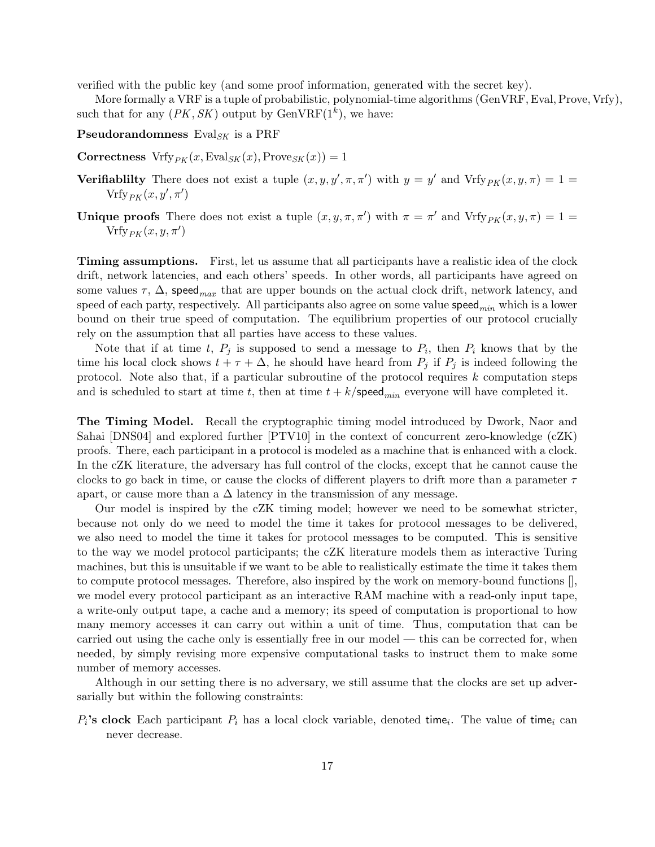verified with the public key (and some proof information, generated with the secret key).

More formally a VRF is a tuple of probabilistic, polynomial-time algorithms (GenVRF, Eval, Prove, Vrfy), such that for any  $(PK, SK)$  output by  $GenVRF(1^k)$ , we have:

**Pseudorandomness** Eval<sub>SK</sub> is a PRF

**Correctness** Vrfy<sub>PK</sub> $(x, \text{Eval}_{SK}(x), \text{Prove}_{SK}(x)) = 1$ 

- **Verifiablilty** There does not exist a tuple  $(x, y, y', \pi, \pi')$  with  $y = y'$  and  $Vrfy_{PK}(x, y, \pi) = 1$  $\mathop{\mathrm{Vrfy}}\nolimits_{PK}(x,y',\pi')$
- **Unique proofs** There does not exist a tuple  $(x, y, \pi, \pi')$  with  $\pi = \pi'$  and  $Vrfy_{PK}(x, y, \pi) = 1$  $\mathrm{Vrfy}_{PK}(x, y, \pi')$

Timing assumptions. First, let us assume that all participants have a realistic idea of the clock drift, network latencies, and each others' speeds. In other words, all participants have agreed on some values  $\tau$ ,  $\Delta$ , speed<sub>max</sub> that are upper bounds on the actual clock drift, network latency, and speed of each party, respectively. All participants also agree on some value  $\mathsf{speed}_{min}$  which is a lower bound on their true speed of computation. The equilibrium properties of our protocol crucially rely on the assumption that all parties have access to these values.

Note that if at time t,  $P_j$  is supposed to send a message to  $P_i$ , then  $P_i$  knows that by the time his local clock shows  $t + \tau + \Delta$ , he should have heard from  $P_j$  if  $P_j$  is indeed following the protocol. Note also that, if a particular subroutine of the protocol requires k computation steps and is scheduled to start at time t, then at time  $t + k$ /speed<sub>min</sub> everyone will have completed it.

The Timing Model. Recall the cryptographic timing model introduced by Dwork, Naor and Sahai [DNS04] and explored further [PTV10] in the context of concurrent zero-knowledge (cZK) proofs. There, each participant in a protocol is modeled as a machine that is enhanced with a clock. In the cZK literature, the adversary has full control of the clocks, except that he cannot cause the clocks to go back in time, or cause the clocks of different players to drift more than a parameter  $\tau$ apart, or cause more than a  $\Delta$  latency in the transmission of any message.

Our model is inspired by the cZK timing model; however we need to be somewhat stricter, because not only do we need to model the time it takes for protocol messages to be delivered, we also need to model the time it takes for protocol messages to be computed. This is sensitive to the way we model protocol participants; the cZK literature models them as interactive Turing machines, but this is unsuitable if we want to be able to realistically estimate the time it takes them to compute protocol messages. Therefore, also inspired by the work on memory-bound functions [], we model every protocol participant as an interactive RAM machine with a read-only input tape, a write-only output tape, a cache and a memory; its speed of computation is proportional to how many memory accesses it can carry out within a unit of time. Thus, computation that can be carried out using the cache only is essentially free in our model — this can be corrected for, when needed, by simply revising more expensive computational tasks to instruct them to make some number of memory accesses.

Although in our setting there is no adversary, we still assume that the clocks are set up adversarially but within the following constraints:

 $P_i$ 's clock Each participant  $P_i$  has a local clock variable, denoted time<sub>i</sub>. The value of time<sub>i</sub> can never decrease.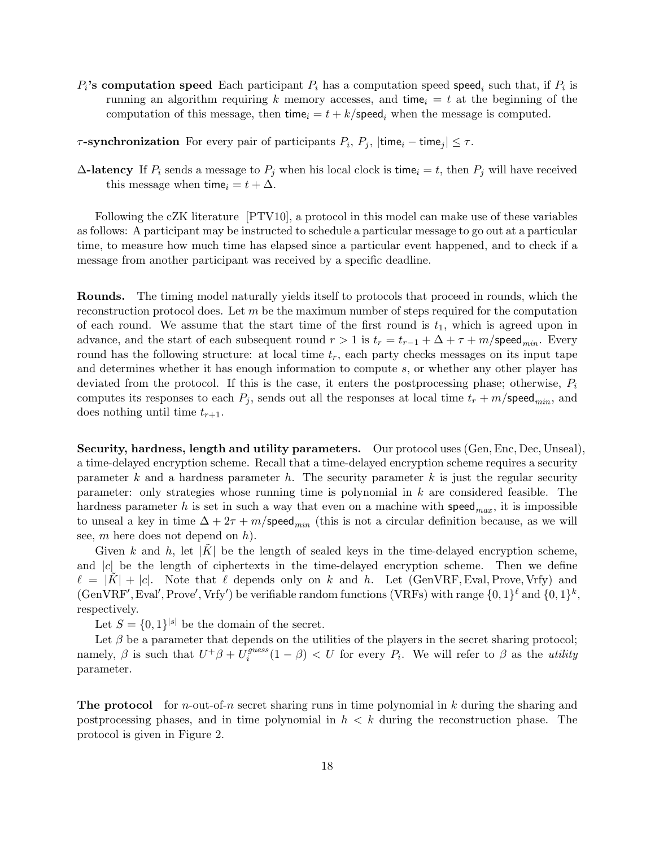$P_i$ 's computation speed Each participant  $P_i$  has a computation speed speed<sub>i</sub> such that, if  $P_i$  is running an algorithm requiring k memory accesses, and time<sub>i</sub> = t at the beginning of the computation of this message, then time<sub>i</sub> =  $t + k$ /speed<sub>i</sub> when the message is computed.

 $\tau$ -synchronization For every pair of participants  $P_i$ ,  $P_j$ ,  $|\text{time}_i - \text{time}_j| \leq \tau$ .

 $\Delta$ -latency If  $P_i$  sends a message to  $P_j$  when his local clock is time<sub>i</sub> = t, then  $P_j$  will have received this message when time<sub>i</sub> =  $t + \Delta$ .

Following the cZK literature [PTV10], a protocol in this model can make use of these variables as follows: A participant may be instructed to schedule a particular message to go out at a particular time, to measure how much time has elapsed since a particular event happened, and to check if a message from another participant was received by a specific deadline.

Rounds. The timing model naturally yields itself to protocols that proceed in rounds, which the reconstruction protocol does. Let  $m$  be the maximum number of steps required for the computation of each round. We assume that the start time of the first round is  $t_1$ , which is agreed upon in advance, and the start of each subsequent round  $r > 1$  is  $t_r = t_{r-1} + \Delta + \tau + m$ /speed<sub>min</sub>. Every round has the following structure: at local time  $t_r$ , each party checks messages on its input tape and determines whether it has enough information to compute s, or whether any other player has deviated from the protocol. If this is the case, it enters the postprocessing phase; otherwise,  $P_i$ computes its responses to each  $P_j$ , sends out all the responses at local time  $t_r + m$ /speed<sub>min</sub>, and does nothing until time  $t_{r+1}$ .

Security, hardness, length and utility parameters. Our protocol uses (Gen, Enc, Dec, Unseal), a time-delayed encryption scheme. Recall that a time-delayed encryption scheme requires a security parameter k and a hardness parameter h. The security parameter k is just the regular security parameter: only strategies whose running time is polynomial in k are considered feasible. The hardness parameter h is set in such a way that even on a machine with speed<sub>max</sub>, it is impossible to unseal a key in time  $\Delta + 2\tau + m$ /speed<sub>min</sub> (this is not a circular definition because, as we will see,  $m$  here does not depend on  $h$ ).

Given k and h, let |K| be the length of sealed keys in the time-delayed encryption scheme, and  $|c|$  be the length of ciphertexts in the time-delayed encryption scheme. Then we define  $\ell = |K| + |c|$ . Note that  $\ell$  depends only on k and h. Let (GenVRF, Eval, Prove, Vrfy) and  $(\text{GenVRF}', \text{Eval}', \text{Prove}', \text{Vrfy}')$  be verifiable random functions (VRFs) with range  $\{0, 1\}^{\ell}$  and  $\{0, 1\}^k$ , respectively.

Let  $S = \{0,1\}^{|s|}$  be the domain of the secret.

Let  $\beta$  be a parameter that depends on the utilities of the players in the secret sharing protocol; namely,  $\beta$  is such that  $U^+\beta + U_i^{guess}$  $\sum_{i=1}^{guess}(1-\beta) < U$  for every  $P_i$ . We will refer to  $\beta$  as the *utility* parameter.

**The protocol** for *n*-out-of-*n* secret sharing runs in time polynomial in  $k$  during the sharing and postprocessing phases, and in time polynomial in  $h < k$  during the reconstruction phase. The protocol is given in Figure 2.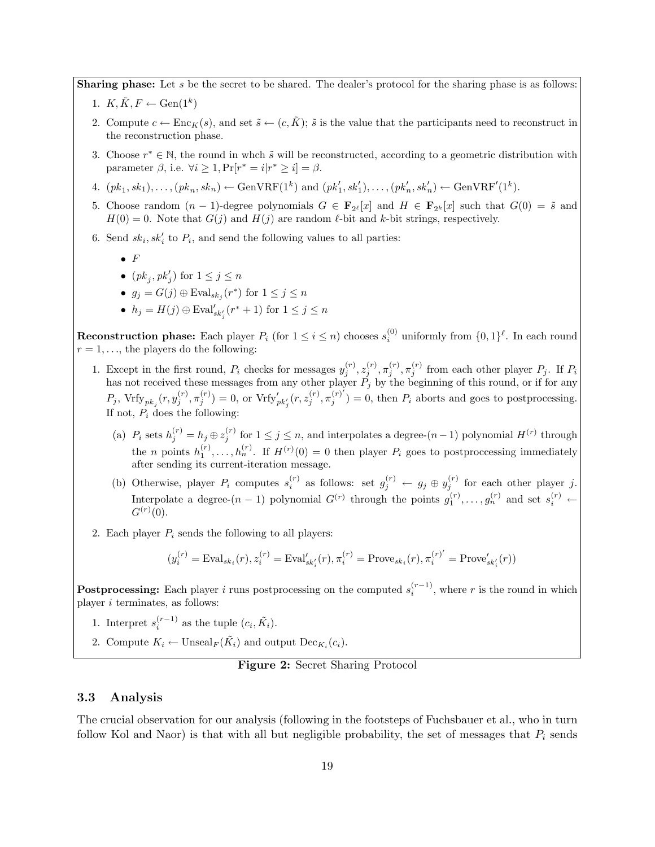**Sharing phase:** Let s be the secret to be shared. The dealer's protocol for the sharing phase is as follows:

- 1.  $K, \tilde{K}, F \leftarrow \text{Gen}(1^k)$
- 2. Compute  $c \leftarrow \text{Enc}_K(s)$ , and set  $\tilde{s} \leftarrow (c, \tilde{K})$ ;  $\tilde{s}$  is the value that the participants need to reconstruct in the reconstruction phase.
- 3. Choose  $r^* \in \mathbb{N}$ , the round in whch  $\tilde{s}$  will be reconstructed, according to a geometric distribution with parameter  $\beta$ , i.e.  $\forall i \geq 1$ ,  $Pr[r^* = i | r^* \geq i] = \beta$ .
- 4.  $(pk_1, sk_1), \ldots, (pk_n, sk_n) \leftarrow \text{GenVRF}(1^k) \text{ and } (pk'_1, sk'_1), \ldots, (pk'_n, sk'_n) \leftarrow \text{GenVRF}'(1^k)$ .
- 5. Choose random  $(n-1)$ -degree polynomials  $G \in \mathbf{F}_{2^{\ell}}[x]$  and  $H \in \mathbf{F}_{2^k}[x]$  such that  $G(0) = \tilde{s}$  and  $H(0) = 0$ . Note that  $G(j)$  and  $H(j)$  are random  $\ell$ -bit and k-bit strings, respectively.
- 6. Send  $sk_i, sk_i'$  to  $P_i$ , and send the following values to all parties:
	- $\bullet$  F
	- $(pk_j, pk'_j)$  for  $1 \leq j \leq n$
	- $g_j = G(j) \oplus \mathrm{Eval}_{sk_j}(r^*)$  for  $1 \leq j \leq n$
	- $h_j = H(j) \oplus \text{Eval}'_{sk'_j}(r^* + 1)$  for  $1 \leq j \leq n$

**Reconstruction phase:** Each player  $P_i$  (for  $1 \leq i \leq n$ ) chooses  $s_i^{(0)}$  uniformly from  $\{0,1\}^{\ell}$ . In each round  $r = 1, \ldots$ , the players do the following:

- 1. Except in the first round,  $P_i$  checks for messages  $y_j^{(r)}, z_j^{(r)}, \pi_j^{(r)}$ ,  $\pi_j^{(r)}$  from each other player  $P_j$ . If  $P_i$ has not received these messages from any other player  $P_j$  by the beginning of this round, or if for any  $P_j, \, \text{Vrfy}_{pk_j}(r, y_j^{(r)}, \pi_j^{(r)}) = 0, \, \text{or} \, \, \text{Vrfy}'_{pk'_j}(r, z_j^{(r)}, \pi_j^{(r)'}$  $j_j^{(r)}$ ) = 0, then  $P_i$  aborts and goes to postprocessing. If not,  $P_i$  does the following:
	- (a)  $P_i$  sets  $h_j^{(r)} = h_j \oplus z_j^{(r)}$  for  $1 \le j \le n$ , and interpolates a degree- $(n-1)$  polynomial  $H^{(r)}$  through the *n* points  $h_1^{(r)}, \ldots, h_n^{(r)}$ . If  $H^{(r)}(0) = 0$  then player  $P_i$  goes to postprocessing immediately after sending its current-iteration message.
	- (b) Otherwise, player  $P_i$  computes  $s_i^{(r)}$  as follows: set  $g_j^{(r)} \leftarrow g_j \oplus y_j^{(r)}$  for each other player j. Interpolate a degree- $(n-1)$  polynomial  $G^{(r)}$  through the points  $g_1^{(r)}, \ldots, g_n^{(r)}$  and set  $s_i^{(r)}$   $\leftarrow$  $G^{(r)}(0)$ .
- 2. Each player  $P_i$  sends the following to all players:

$$
(y_i^{(r)} = \text{Eval}_{sk_i}(r), z_i^{(r)} = \text{Eval}_{sk'_i}(r), \pi_i^{(r)} = \text{Prove}_{sk_i}(r), \pi_i^{(r)'} = \text{Prove}'_{sk'_i}(r))
$$

Postprocessing: Each player i runs postprocessing on the computed  $s_i^{(r-1)}$ , where r is the round in which player  $i$  terminates, as follows:

- 1. Interpret  $s_i^{(r-1)}$  as the tuple  $(c_i, \tilde{K}_i)$ .
- 2. Compute  $K_i \leftarrow \text{Unseal}_F(\tilde{K}_i)$  and output  $\text{Dec}_{K_i}(c_i)$ .

#### Figure 2: Secret Sharing Protocol

#### 3.3 Analysis

The crucial observation for our analysis (following in the footsteps of Fuchsbauer et al., who in turn follow Kol and Naor) is that with all but negligible probability, the set of messages that  $P_i$  sends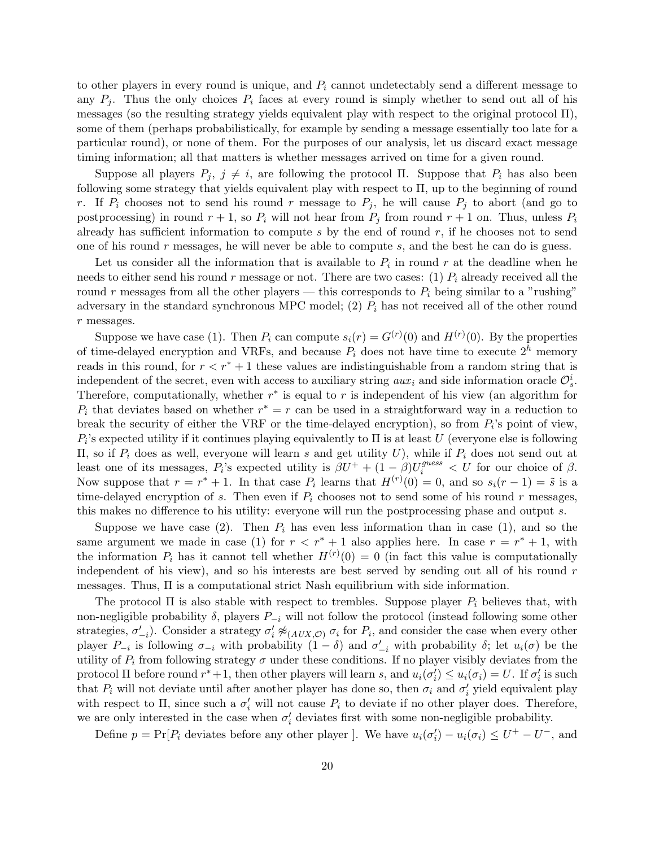to other players in every round is unique, and  $P_i$  cannot undetectably send a different message to any  $P_i$ . Thus the only choices  $P_i$  faces at every round is simply whether to send out all of his messages (so the resulting strategy yields equivalent play with respect to the original protocol Π), some of them (perhaps probabilistically, for example by sending a message essentially too late for a particular round), or none of them. For the purposes of our analysis, let us discard exact message timing information; all that matters is whether messages arrived on time for a given round.

Suppose all players  $P_j$ ,  $j \neq i$ , are following the protocol Π. Suppose that  $P_i$  has also been following some strategy that yields equivalent play with respect to Π, up to the beginning of round r. If  $P_i$  chooses not to send his round r message to  $P_j$ , he will cause  $P_j$  to abort (and go to postprocessing) in round  $r + 1$ , so  $P_i$  will not hear from  $P_j$  from round  $r + 1$  on. Thus, unless  $P_i$ already has sufficient information to compute  $s$  by the end of round  $r$ , if he chooses not to send one of his round  $r$  messages, he will never be able to compute  $s$ , and the best he can do is guess.

Let us consider all the information that is available to  $P_i$  in round r at the deadline when he needs to either send his round r message or not. There are two cases: (1)  $P_i$  already received all the round r messages from all the other players — this corresponds to  $P_i$  being similar to a "rushing" adversary in the standard synchronous MPC model; (2)  $P_i$  has not received all of the other round r messages.

Suppose we have case (1). Then  $P_i$  can compute  $s_i(r) = G^{(r)}(0)$  and  $H^{(r)}(0)$ . By the properties of time-delayed encryption and VRFs, and because  $P_i$  does not have time to execute  $2^h$  memory reads in this round, for  $r < r^* + 1$  these values are indistinguishable from a random string that is independent of the secret, even with access to auxiliary string  $aux_i$  and side information oracle  $\mathcal{O}_s^i$ . Therefore, computationally, whether  $r^*$  is equal to r is independent of his view (an algorithm for  $P_i$  that deviates based on whether  $r^* = r$  can be used in a straightforward way in a reduction to break the security of either the VRF or the time-delayed encryption), so from  $P_i$ 's point of view,  $P_i$ 's expected utility if it continues playing equivalently to  $\Pi$  is at least U (everyone else is following II, so if  $P_i$  does as well, everyone will learn s and get utility U), while if  $P_i$  does not send out at least one of its messages,  $P_i$ 's expected utility is  $\beta U^+ + (1-\beta)U_i^{guess} < U$  for our choice of  $\beta$ . Now suppose that  $r = r^* + 1$ . In that case  $P_i$  learns that  $H^{(r)}(0) = 0$ , and so  $s_i(r-1) = \tilde{s}$  is a time-delayed encryption of s. Then even if  $P_i$  chooses not to send some of his round r messages, this makes no difference to his utility: everyone will run the postprocessing phase and output s.

Suppose we have case (2). Then  $P_i$  has even less information than in case (1), and so the same argument we made in case (1) for  $r < r^* + 1$  also applies here. In case  $r = r^* + 1$ , with the information  $P_i$  has it cannot tell whether  $H^{(r)}(0) = 0$  (in fact this value is computationally independent of his view), and so his interests are best served by sending out all of his round  $r$ messages. Thus, Π is a computational strict Nash equilibrium with side information.

The protocol  $\Pi$  is also stable with respect to trembles. Suppose player  $P_i$  believes that, with non-negligible probability  $\delta$ , players  $P_{-i}$  will not follow the protocol (instead following some other strategies,  $\sigma'_{-i}$ ). Consider a strategy  $\sigma'_{i} \not\approx_{(AUX,\mathcal{O})} \sigma_{i}$  for  $P_{i}$ , and consider the case when every other player  $P_{-i}$  is following  $\sigma_{-i}$  with probability  $(1 - \delta)$  and  $\sigma'_{-i}$  with probability  $\delta$ ; let  $u_i(\sigma)$  be the utility of  $P_i$  from following strategy  $\sigma$  under these conditions. If no player visibly deviates from the protocol  $\Pi$  before round  $r^*+1$ , then other players will learn s, and  $u_i(\sigma'_i) \leq u_i(\sigma_i) = U$ . If  $\sigma'_i$  is such that  $P_i$  will not deviate until after another player has done so, then  $\sigma_i$  and  $\sigma'_i$  yield equivalent play with respect to  $\Pi$ , since such a  $\sigma'_i$  will not cause  $P_i$  to deviate if no other player does. Therefore, we are only interested in the case when  $\sigma'_{i}$  deviates first with some non-negligible probability.

Define  $p = Pr[P_i]$  deviates before any other player ]. We have  $u_i(\sigma_i') - u_i(\sigma_i) \leq U^+ - U^-$ , and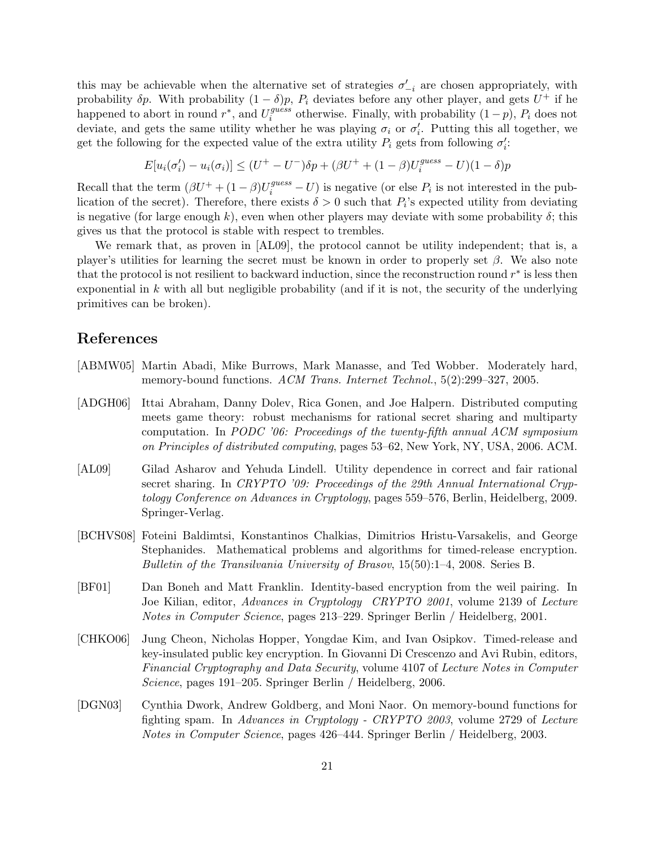this may be achievable when the alternative set of strategies  $\sigma'_{-i}$  are chosen appropriately, with probability  $\delta p$ . With probability  $(1 - \delta)p$ ,  $P_i$  deviates before any other player, and gets  $U^+$  if he happened to abort in round  $r^*$ , and  $U_i^{guess}$  $i_j^{guess}$  otherwise. Finally, with probability  $(1-p)$ ,  $P_i$  does not deviate, and gets the same utility whether he was playing  $\sigma_i$  or  $\sigma'_i$ . Putting this all together, we get the following for the expected value of the extra utility  $P_i$  gets from following  $\sigma_i'$ :

$$
E[u_i(\sigma'_i) - u_i(\sigma_i)] \le (U^+ - U^-)\delta p + (\beta U^+ + (1 - \beta)U_i^{guess} - U)(1 - \delta)p
$$

Recall that the term  $(\beta U^+ + (1 - \beta)U_i^{guess} - U)$  is negative (or else  $P_i$  is not interested in the publication of the secret). Therefore, there exists  $\delta > 0$  such that  $P_i$ 's expected utility from deviating is negative (for large enough k), even when other players may deviate with some probability  $\delta$ ; this gives us that the protocol is stable with respect to trembles.

We remark that, as proven in [AL09], the protocol cannot be utility independent; that is, a player's utilities for learning the secret must be known in order to properly set  $\beta$ . We also note that the protocol is not resilient to backward induction, since the reconstruction round  $r^*$  is less then exponential in k with all but negligible probability (and if it is not, the security of the underlying primitives can be broken).

### References

- [ABMW05] Martin Abadi, Mike Burrows, Mark Manasse, and Ted Wobber. Moderately hard, memory-bound functions. ACM Trans. Internet Technol., 5(2):299–327, 2005.
- [ADGH06] Ittai Abraham, Danny Dolev, Rica Gonen, and Joe Halpern. Distributed computing meets game theory: robust mechanisms for rational secret sharing and multiparty computation. In PODC '06: Proceedings of the twenty-fifth annual ACM symposium on Principles of distributed computing, pages 53–62, New York, NY, USA, 2006. ACM.
- [AL09] Gilad Asharov and Yehuda Lindell. Utility dependence in correct and fair rational secret sharing. In CRYPTO '09: Proceedings of the 29th Annual International Cryptology Conference on Advances in Cryptology, pages 559–576, Berlin, Heidelberg, 2009. Springer-Verlag.
- [BCHVS08] Foteini Baldimtsi, Konstantinos Chalkias, Dimitrios Hristu-Varsakelis, and George Stephanides. Mathematical problems and algorithms for timed-release encryption. Bulletin of the Transilvania University of Brasov, 15(50):1–4, 2008. Series B.
- [BF01] Dan Boneh and Matt Franklin. Identity-based encryption from the weil pairing. In Joe Kilian, editor, Advances in Cryptology CRYPTO 2001, volume 2139 of Lecture Notes in Computer Science, pages 213–229. Springer Berlin / Heidelberg, 2001.
- [CHKO06] Jung Cheon, Nicholas Hopper, Yongdae Kim, and Ivan Osipkov. Timed-release and key-insulated public key encryption. In Giovanni Di Crescenzo and Avi Rubin, editors, Financial Cryptography and Data Security, volume 4107 of Lecture Notes in Computer Science, pages 191–205. Springer Berlin / Heidelberg, 2006.
- [DGN03] Cynthia Dwork, Andrew Goldberg, and Moni Naor. On memory-bound functions for fighting spam. In Advances in Cryptology - CRYPTO 2003, volume 2729 of Lecture Notes in Computer Science, pages 426–444. Springer Berlin / Heidelberg, 2003.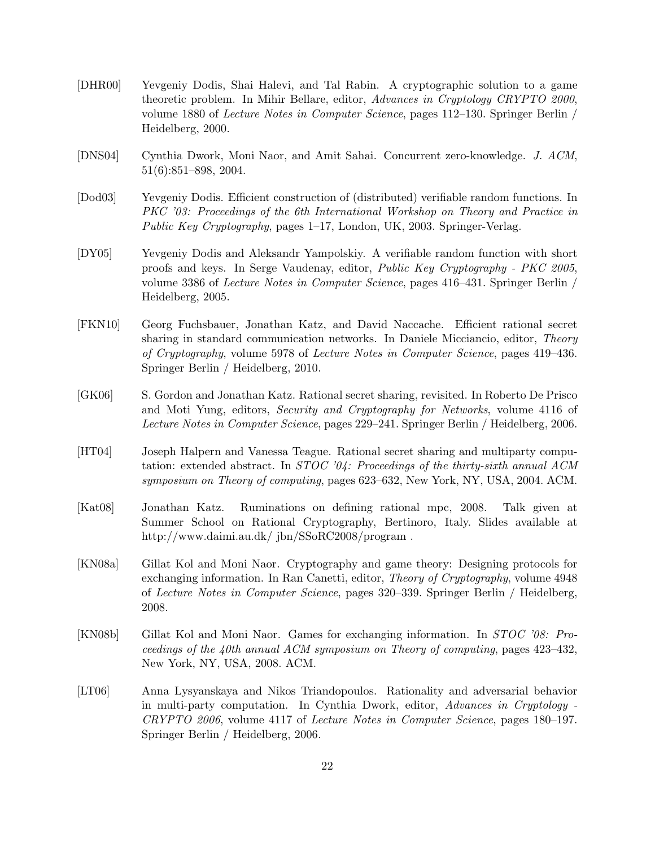- [DHR00] Yevgeniy Dodis, Shai Halevi, and Tal Rabin. A cryptographic solution to a game theoretic problem. In Mihir Bellare, editor, Advances in Cryptology CRYPTO 2000, volume 1880 of Lecture Notes in Computer Science, pages 112–130. Springer Berlin / Heidelberg, 2000.
- [DNS04] Cynthia Dwork, Moni Naor, and Amit Sahai. Concurrent zero-knowledge. J. ACM, 51(6):851–898, 2004.
- [Dod03] Yevgeniy Dodis. Efficient construction of (distributed) verifiable random functions. In PKC '03: Proceedings of the 6th International Workshop on Theory and Practice in Public Key Cryptography, pages 1–17, London, UK, 2003. Springer-Verlag.
- [DY05] Yevgeniy Dodis and Aleksandr Yampolskiy. A verifiable random function with short proofs and keys. In Serge Vaudenay, editor, Public Key Cryptography - PKC 2005, volume 3386 of Lecture Notes in Computer Science, pages 416–431. Springer Berlin / Heidelberg, 2005.
- [FKN10] Georg Fuchsbauer, Jonathan Katz, and David Naccache. Efficient rational secret sharing in standard communication networks. In Daniele Micciancio, editor, Theory of Cryptography, volume 5978 of Lecture Notes in Computer Science, pages 419–436. Springer Berlin / Heidelberg, 2010.
- [GK06] S. Gordon and Jonathan Katz. Rational secret sharing, revisited. In Roberto De Prisco and Moti Yung, editors, Security and Cryptography for Networks, volume 4116 of Lecture Notes in Computer Science, pages 229–241. Springer Berlin / Heidelberg, 2006.
- [HT04] Joseph Halpern and Vanessa Teague. Rational secret sharing and multiparty computation: extended abstract. In  $STOC$  '04: Proceedings of the thirty-sixth annual ACM symposium on Theory of computing, pages 623–632, New York, NY, USA, 2004. ACM.
- [Kat08] Jonathan Katz. Ruminations on defining rational mpc, 2008. Talk given at Summer School on Rational Cryptography, Bertinoro, Italy. Slides available at http://www.daimi.au.dk/ jbn/SSoRC2008/program .
- [KN08a] Gillat Kol and Moni Naor. Cryptography and game theory: Designing protocols for exchanging information. In Ran Canetti, editor, *Theory of Cryptography*, volume 4948 of Lecture Notes in Computer Science, pages 320–339. Springer Berlin / Heidelberg, 2008.
- [KN08b] Gillat Kol and Moni Naor. Games for exchanging information. In STOC '08: Proceedings of the 40th annual ACM symposium on Theory of computing, pages 423–432, New York, NY, USA, 2008. ACM.
- [LT06] Anna Lysyanskaya and Nikos Triandopoulos. Rationality and adversarial behavior in multi-party computation. In Cynthia Dwork, editor, Advances in Cryptology - CRYPTO 2006, volume 4117 of Lecture Notes in Computer Science, pages 180–197. Springer Berlin / Heidelberg, 2006.